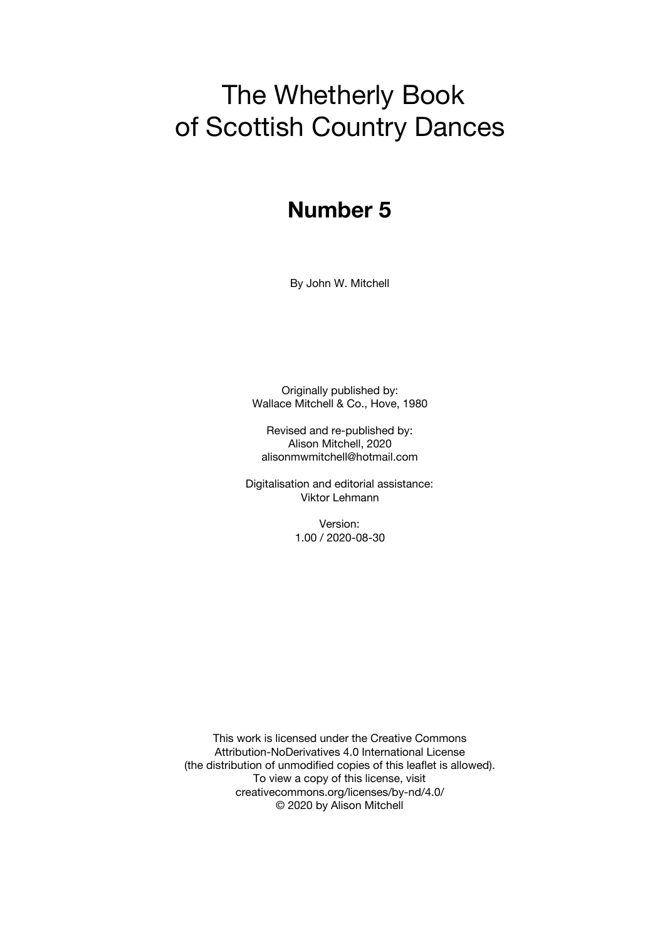# The Whetherly Book of Scottish Country Dances

# **Number 5**

By John W. Mitchell

Originally published by: Wallace Mitchell & Co., Hove, 1980

Revised and re-published by: Alison Mitchell, 2020 alisonmwmitchell@hotmail.com

Digitalisation and editorial assistance: Viktor Lehmann

> Version: 1.00 / 2020-08-30

This work is licensed under the Creative Commons Attribution-NoDerivatives 4.0 International License (the distribution of unmodified copies of this leaflet is allowed). To view a copy of this license, visit creativecommons.org/licenses/by-nd/4.0/ © 2020 by Alison Mitchell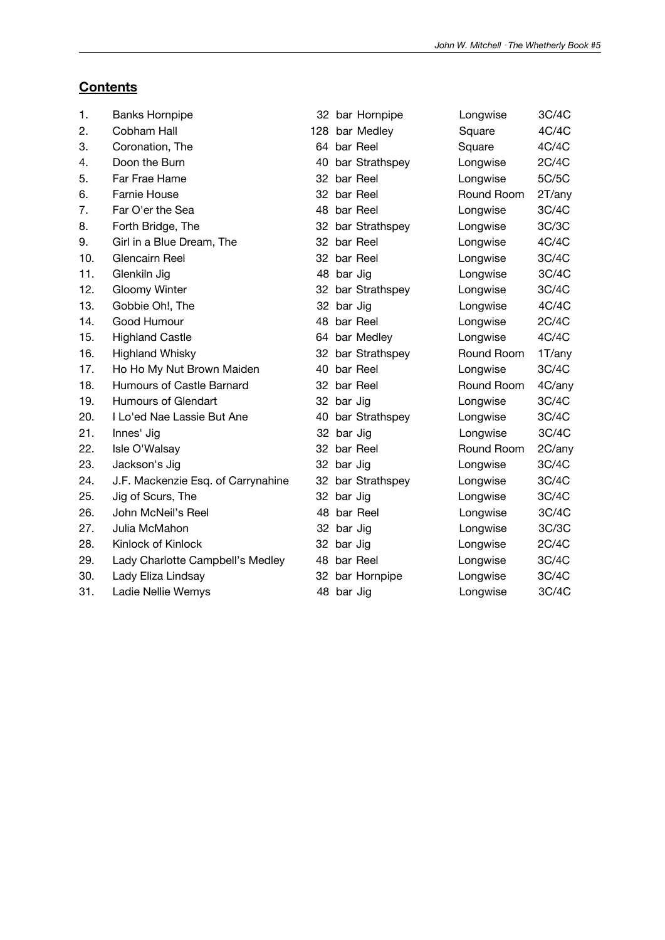### **Contents**

| 1.  | <b>Banks Hornpipe</b>              |    |            | 32 bar Hornpipe   | Longwise   | 3C/4C  |
|-----|------------------------------------|----|------------|-------------------|------------|--------|
| 2.  | Cobham Hall                        |    |            | 128 bar Medley    | Square     | 4C/4C  |
| 3.  | Coronation, The                    |    |            | 64 bar Reel       | Square     | 4C/4C  |
| 4.  | Doon the Burn                      |    |            | 40 bar Strathspey | Longwise   | 2C/4C  |
| 5.  | Far Frae Hame                      | 32 |            | bar Reel          | Longwise   | 5C/5C  |
| 6.  | Farnie House                       |    |            | 32 bar Reel       | Round Room | 2T/any |
| 7.  | Far O'er the Sea                   |    |            | 48 bar Reel       | Longwise   | 3C/4C  |
| 8.  | Forth Bridge, The                  |    |            | 32 bar Strathspey | Longwise   | 3C/3C  |
| 9.  | Girl in a Blue Dream, The          |    |            | 32 bar Reel       | Longwise   | 4C/4C  |
| 10. | Glencairn Reel                     |    |            | 32 bar Reel       | Longwise   | 3C/4C  |
| 11. | Glenkiln Jig                       |    | 48 bar Jig |                   | Longwise   | 3C/4C  |
| 12. | Gloomy Winter                      |    |            | 32 bar Strathspey | Longwise   | 3C/4C  |
| 13. | Gobbie Oh!, The                    |    | 32 bar Jig |                   | Longwise   | 4C/4C  |
| 14. | Good Humour                        | 48 |            | bar Reel          | Longwise   | 2C/4C  |
| 15. | <b>Highland Castle</b>             |    |            | 64 bar Medley     | Longwise   | 4C/4C  |
| 16. | <b>Highland Whisky</b>             |    |            | 32 bar Strathspey | Round Room | 1T/any |
| 17. | Ho Ho My Nut Brown Maiden          | 40 |            | bar Reel          | Longwise   | 3C/4C  |
| 18. | Humours of Castle Barnard          |    |            | 32 bar Reel       | Round Room | 4C/any |
| 19. | Humours of Glendart                |    | 32 bar Jig |                   | Longwise   | 3C/4C  |
| 20. | I Lo'ed Nae Lassie But Ane         |    |            | 40 bar Strathspey | Longwise   | 3C/4C  |
| 21. | Innes' Jig                         |    | 32 bar Jig |                   | Longwise   | 3C/4C  |
| 22. | Isle O'Walsay                      |    |            | 32 bar Reel       | Round Room | 2C/any |
| 23. | Jackson's Jig                      |    | 32 bar Jig |                   | Longwise   | 3C/4C  |
| 24. | J.F. Mackenzie Esq. of Carrynahine |    |            | 32 bar Strathspey | Longwise   | 3C/4C  |
| 25. | Jig of Scurs, The                  |    | 32 bar Jig |                   | Longwise   | 3C/4C  |
| 26. | John McNeil's Reel                 |    |            | 48 bar Reel       | Longwise   | 3C/4C  |
| 27. | Julia McMahon                      |    | 32 bar Jig |                   | Longwise   | 3C/3C  |
| 28. | Kinlock of Kinlock                 |    | 32 bar Jig |                   | Longwise   | 2C/4C  |
| 29. | Lady Charlotte Campbell's Medley   | 48 |            | bar Reel          | Longwise   | 3C/4C  |
| 30. | Lady Eliza Lindsay                 |    |            | 32 bar Hornpipe   | Longwise   | 3C/4C  |
| 31. | Ladie Nellie Wemys                 |    | 48 bar Jig |                   | Longwise   | 3C/4C  |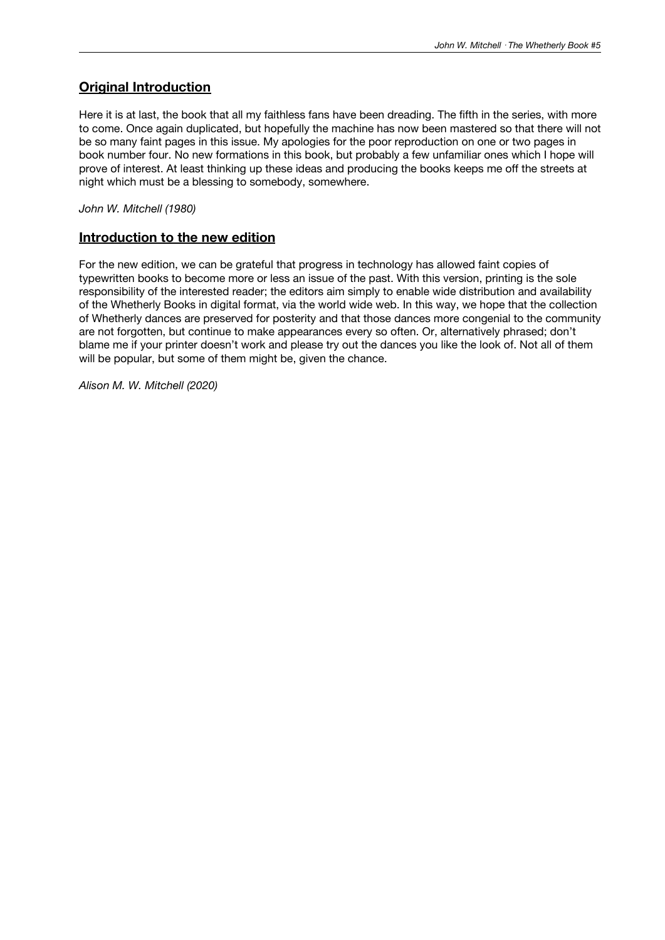### **Original Introduction**

Here it is at last, the book that all my faithless fans have been dreading. The fifth in the series, with more to come. Once again duplicated, but hopefully the machine has now been mastered so that there will not be so many faint pages in this issue. My apologies for the poor reproduction on one or two pages in book number four. No new formations in this book, but probably a few unfamiliar ones which I hope will prove of interest. At least thinking up these ideas and producing the books keeps me off the streets at night which must be a blessing to somebody, somewhere.

*John W. Mitchell (1980)*

#### **Introduction to the new edition**

For the new edition, we can be grateful that progress in technology has allowed faint copies of typewritten books to become more or less an issue of the past. With this version, printing is the sole responsibility of the interested reader; the editors aim simply to enable wide distribution and availability of the Whetherly Books in digital format, via the world wide web. In this way, we hope that the collection of Whetherly dances are preserved for posterity and that those dances more congenial to the community are not forgotten, but continue to make appearances every so often. Or, alternatively phrased; don't blame me if your printer doesn't work and please try out the dances you like the look of. Not all of them will be popular, but some of them might be, given the chance.

*Alison M. W. Mitchell (2020)*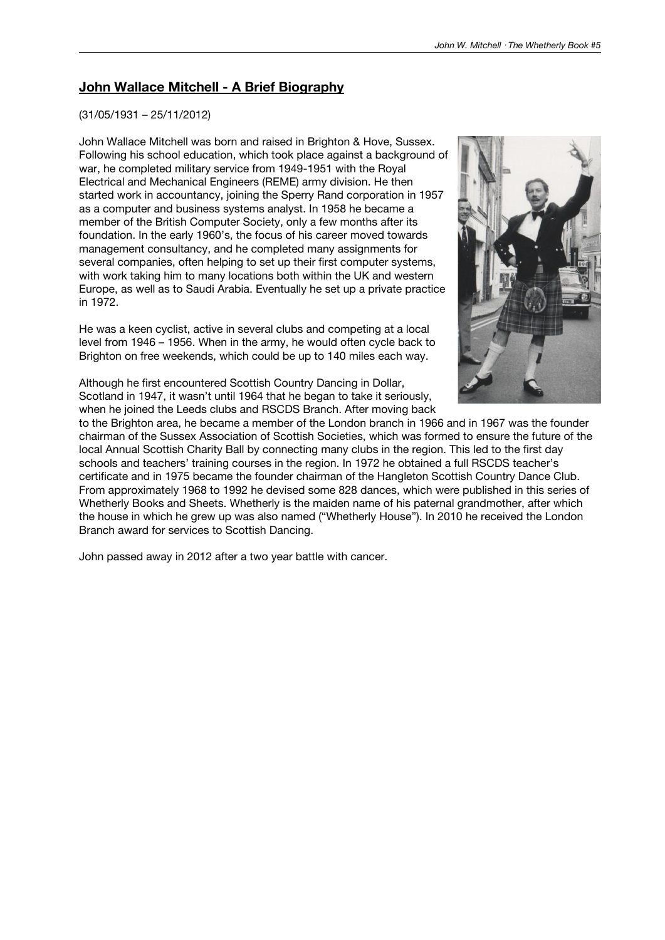### **John Wallace Mitchell - A Brief Biography**

#### (31/05/1931 – 25/11/2012)

John Wallace Mitchell was born and raised in Brighton & Hove, Sussex. Following his school education, which took place against a background of war, he completed military service from 1949-1951 with the Royal Electrical and Mechanical Engineers (REME) army division. He then started work in accountancy, joining the Sperry Rand corporation in 1957 as a computer and business systems analyst. In 1958 he became a member of the British Computer Society, only a few months after its foundation. In the early 1960's, the focus of his career moved towards management consultancy, and he completed many assignments for several companies, often helping to set up their first computer systems, with work taking him to many locations both within the UK and western Europe, as well as to Saudi Arabia. Eventually he set up a private practice in 1972.

He was a keen cyclist, active in several clubs and competing at a local level from 1946 – 1956. When in the army, he would often cycle back to Brighton on free weekends, which could be up to 140 miles each way.



Although he first encountered Scottish Country Dancing in Dollar, Scotland in 1947, it wasn't until 1964 that he began to take it seriously, when he joined the Leeds clubs and RSCDS Branch. After moving back

to the Brighton area, he became a member of the London branch in 1966 and in 1967 was the founder chairman of the Sussex Association of Scottish Societies, which was formed to ensure the future of the local Annual Scottish Charity Ball by connecting many clubs in the region. This led to the first day schools and teachers' training courses in the region. In 1972 he obtained a full RSCDS teacher's certificate and in 1975 became the founder chairman of the Hangleton Scottish Country Dance Club. From approximately 1968 to 1992 he devised some 828 dances, which were published in this series of Whetherly Books and Sheets. Whetherly is the maiden name of his paternal grandmother, after which the house in which he grew up was also named ("Whetherly House"). In 2010 he received the London Branch award for services to Scottish Dancing.

John passed away in 2012 after a two year battle with cancer.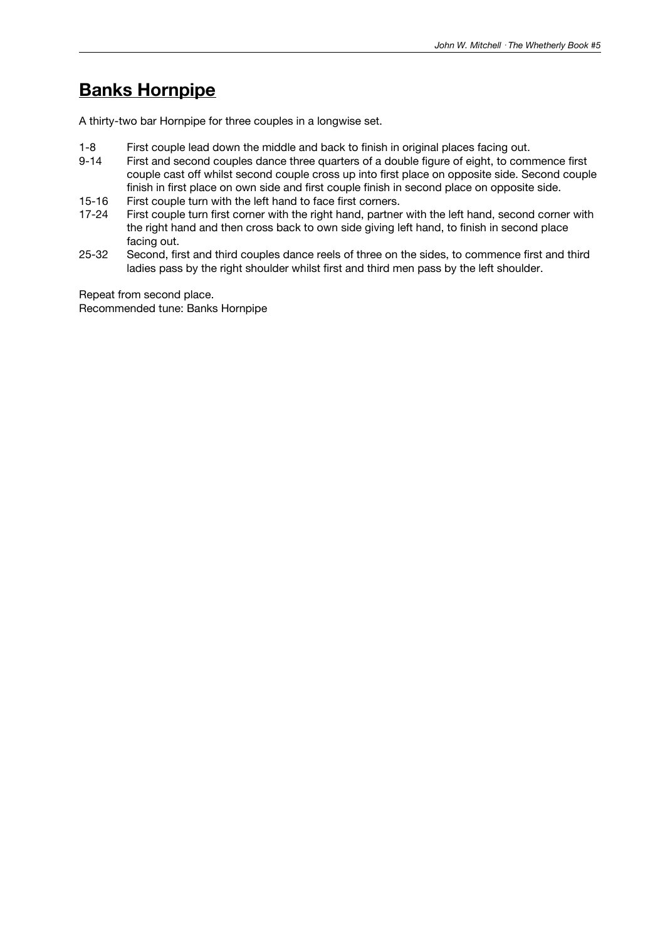### **Banks Hornpipe**

A thirty-two bar Hornpipe for three couples in a longwise set.

- 1-8 First couple lead down the middle and back to finish in original places facing out.
- First and second couples dance three quarters of a double figure of eight, to commence first couple cast off whilst second couple cross up into first place on opposite side. Second couple finish in first place on own side and first couple finish in second place on opposite side.
- 15-16 First couple turn with the left hand to face first corners.
- 17-24 First couple turn first corner with the right hand, partner with the left hand, second corner with the right hand and then cross back to own side giving left hand, to finish in second place facing out.
- 25-32 Second, first and third couples dance reels of three on the sides, to commence first and third ladies pass by the right shoulder whilst first and third men pass by the left shoulder.

Repeat from second place. Recommended tune: Banks Hornpipe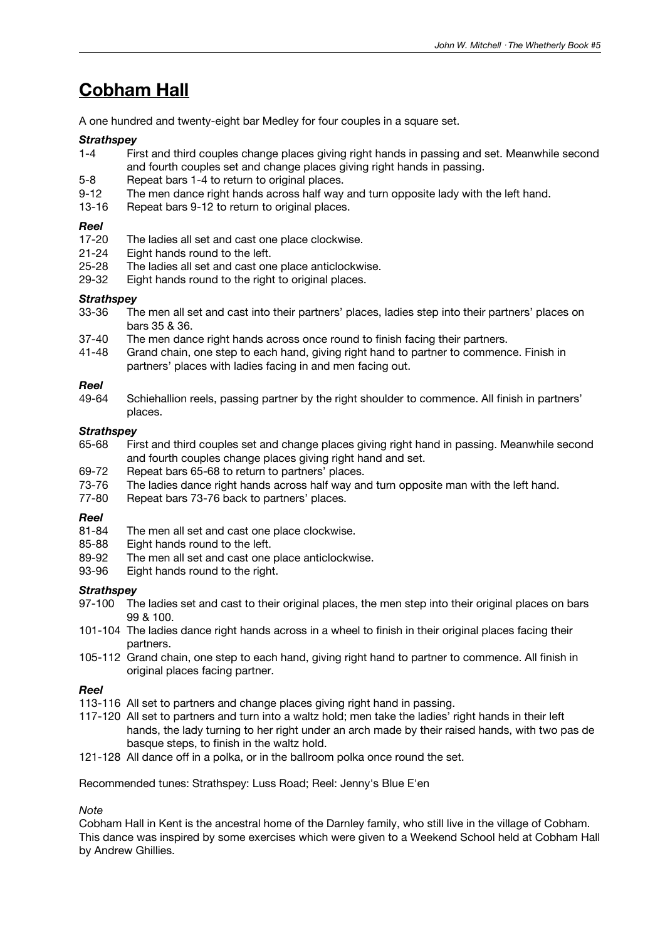### **Cobham Hall**

A one hundred and twenty-eight bar Medley for four couples in a square set.

#### *Strathspey*

- 1-4 First and third couples change places giving right hands in passing and set. Meanwhile second and fourth couples set and change places giving right hands in passing.
- 5-8 Repeat bars 1-4 to return to original places.
- 9-12 The men dance right hands across half way and turn opposite lady with the left hand.
- 13-16 Repeat bars 9-12 to return to original places.

#### *Reel*

- 17-20 The ladies all set and cast one place clockwise.<br>21-24 Eight hands round to the left.
- Eight hands round to the left.
- 25-28 The ladies all set and cast one place anticlockwise.<br>29-32 Eight hands round to the right to original places.
- Eight hands round to the right to original places.

#### *Strathspey*

- 33-36 The men all set and cast into their partners' places, ladies step into their partners' places on bars 35 & 36.
- 37-40 The men dance right hands across once round to finish facing their partners.<br>41-48 Grand chain, one step to each hand, giving right hand to partner to commend
- Grand chain, one step to each hand, giving right hand to partner to commence. Finish in partners' places with ladies facing in and men facing out.

#### *Reel*

49-64 Schiehallion reels, passing partner by the right shoulder to commence. All finish in partners' places.

#### *Strathspey*

- 65-68 First and third couples set and change places giving right hand in passing. Meanwhile second and fourth couples change places giving right hand and set.
- 69-72 Repeat bars 65-68 to return to partners' places.
- 73-76 The ladies dance right hands across half way and turn opposite man with the left hand.
- 77-80 Repeat bars 73-76 back to partners' places.

#### *Reel*

- 81-84 The men all set and cast one place clockwise.
- 85-88 Eight hands round to the left.
- 89-92 The men all set and cast one place anticlockwise.
- 93-96 Eight hands round to the right.

#### *Strathspey*

- 97-100 The ladies set and cast to their original places, the men step into their original places on bars 99 & 100.
- 101-104 The ladies dance right hands across in a wheel to finish in their original places facing their partners.
- 105-112 Grand chain, one step to each hand, giving right hand to partner to commence. All finish in original places facing partner.

#### *Reel*

- 113-116 All set to partners and change places giving right hand in passing.
- 117-120 All set to partners and turn into a waltz hold; men take the ladies' right hands in their left hands, the lady turning to her right under an arch made by their raised hands, with two pas de basque steps, to finish in the waltz hold.
- 121-128 All dance off in a polka, or in the ballroom polka once round the set.

Recommended tunes: Strathspey: Luss Road; Reel: Jenny's Blue E'en

### *Note*

Cobham Hall in Kent is the ancestral home of the Darnley family, who still live in the village of Cobham. This dance was inspired by some exercises which were given to a Weekend School held at Cobham Hall by Andrew Ghillies.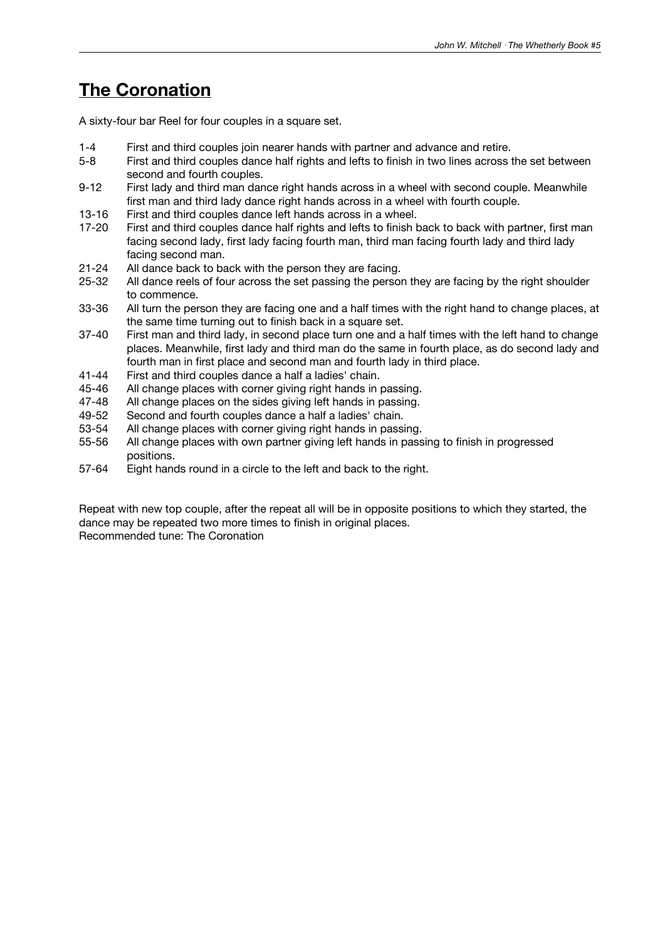### **The Coronation**

A sixty-four bar Reel for four couples in a square set.

- 1-4 First and third couples join nearer hands with partner and advance and retire.
- 5-8 First and third couples dance half rights and lefts to finish in two lines across the set between second and fourth couples.
- 9-12 First lady and third man dance right hands across in a wheel with second couple. Meanwhile first man and third lady dance right hands across in a wheel with fourth couple.
- 13-16 First and third couples dance left hands across in a wheel.
- 17-20 First and third couples dance half rights and lefts to finish back to back with partner, first man facing second lady, first lady facing fourth man, third man facing fourth lady and third lady facing second man.
- 21-24 All dance back to back with the person they are facing.
- 25-32 All dance reels of four across the set passing the person they are facing by the right shoulder to commence.
- 33-36 All turn the person they are facing one and a half times with the right hand to change places, at the same time turning out to finish back in a square set.
- 37-40 First man and third lady, in second place turn one and a half times with the left hand to change places. Meanwhile, first lady and third man do the same in fourth place, as do second lady and fourth man in first place and second man and fourth lady in third place.
- 41-44 First and third couples dance a half a ladies' chain.
- 45-46 All change places with corner giving right hands in passing.<br>47-48 All change places on the sides giving left hands in passing.
- 47-48 All change places on the sides giving left hands in passing.<br>49-52 Second and fourth couples dance a half a ladies' chain.
- Second and fourth couples dance a half a ladies' chain.
- 53-54 All change places with corner giving right hands in passing.
- 55-56 All change places with own partner giving left hands in passing to finish in progressed positions.
- 57-64 Eight hands round in a circle to the left and back to the right.

Repeat with new top couple, after the repeat all will be in opposite positions to which they started, the dance may be repeated two more times to finish in original places. Recommended tune: The Coronation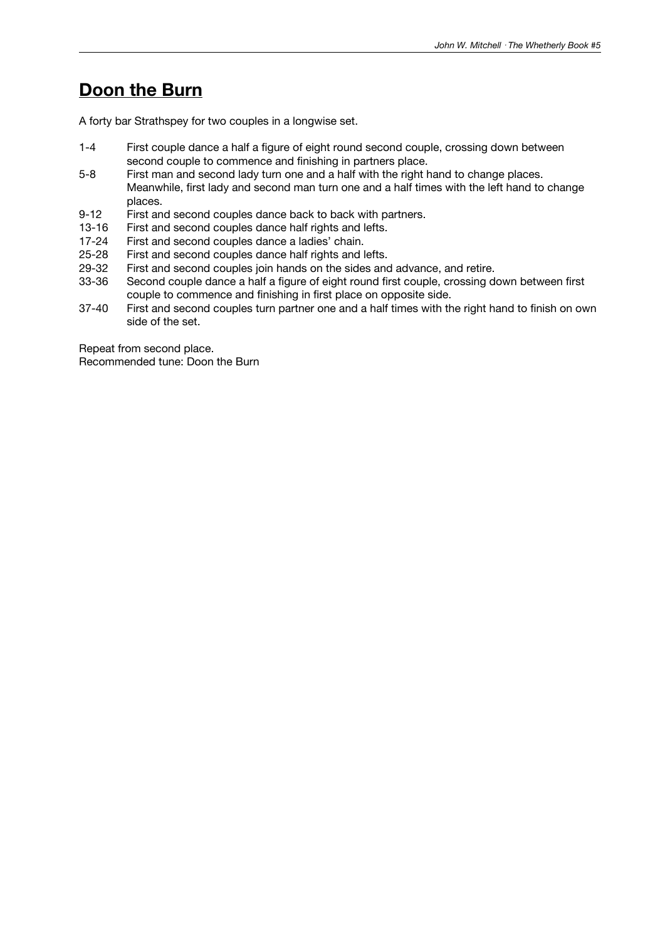### **Doon the Burn**

A forty bar Strathspey for two couples in a longwise set.

- 1-4 First couple dance a half a figure of eight round second couple, crossing down between second couple to commence and finishing in partners place.
- 5-8 First man and second lady turn one and a half with the right hand to change places. Meanwhile, first lady and second man turn one and a half times with the left hand to change places.
- 9-12 First and second couples dance back to back with partners.
- 13-16 First and second couples dance half rights and lefts.
- 17-24 First and second couples dance a ladies' chain.<br>25-28 First and second couples dance half rights and I
- 25-28 First and second couples dance half rights and lefts.<br>29-32 First and second couples ioin hands on the sides and
- 29-32 First and second couples join hands on the sides and advance, and retire.<br>33-36 Second couple dance a half a figure of eight round first couple, crossing d
- Second couple dance a half a figure of eight round first couple, crossing down between first couple to commence and finishing in first place on opposite side.
- 37-40 First and second couples turn partner one and a half times with the right hand to finish on own side of the set.

Repeat from second place. Recommended tune: Doon the Burn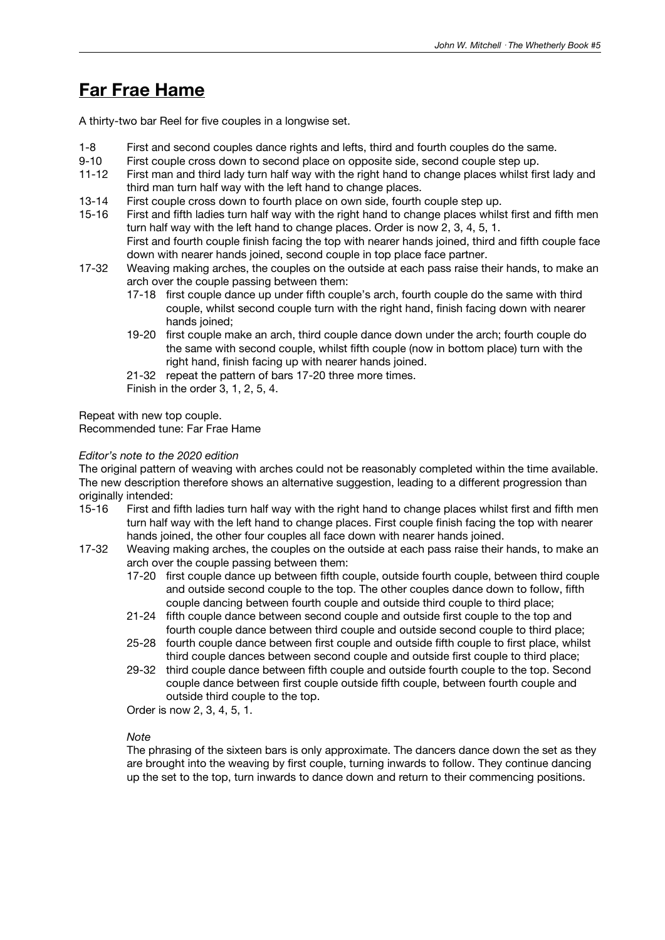### **Far Frae Hame**

A thirty-two bar Reel for five couples in a longwise set.

- 1-8 First and second couples dance rights and lefts, third and fourth couples do the same.
- 9-10 First couple cross down to second place on opposite side, second couple step up.
- 11-12 First man and third lady turn half way with the right hand to change places whilst first lady and third man turn half way with the left hand to change places.
- 13-14 First couple cross down to fourth place on own side, fourth couple step up.
- 15-16 First and fifth ladies turn half way with the right hand to change places whilst first and fifth men turn half way with the left hand to change places. Order is now 2, 3, 4, 5, 1. First and fourth couple finish facing the top with nearer hands joined, third and fifth couple face down with nearer hands joined, second couple in top place face partner.
- 17-32 Weaving making arches, the couples on the outside at each pass raise their hands, to make an arch over the couple passing between them:
	- 17-18 first couple dance up under fifth couple's arch, fourth couple do the same with third couple, whilst second couple turn with the right hand, finish facing down with nearer hands joined;
	- 19-20 first couple make an arch, third couple dance down under the arch; fourth couple do the same with second couple, whilst fifth couple (now in bottom place) turn with the right hand, finish facing up with nearer hands joined.

21-32 repeat the pattern of bars 17-20 three more times.

Finish in the order 3, 1, 2, 5, 4.

Repeat with new top couple. Recommended tune: Far Frae Hame

#### *Editor's note to the 2020 edition*

The original pattern of weaving with arches could not be reasonably completed within the time available. The new description therefore shows an alternative suggestion, leading to a different progression than originally intended:

- 15-16 First and fifth ladies turn half way with the right hand to change places whilst first and fifth men turn half way with the left hand to change places. First couple finish facing the top with nearer hands joined, the other four couples all face down with nearer hands joined.
- 17-32 Weaving making arches, the couples on the outside at each pass raise their hands, to make an arch over the couple passing between them:
	- 17-20 first couple dance up between fifth couple, outside fourth couple, between third couple and outside second couple to the top. The other couples dance down to follow, fifth couple dancing between fourth couple and outside third couple to third place;
	- 21-24 fifth couple dance between second couple and outside first couple to the top and fourth couple dance between third couple and outside second couple to third place;
	- 25-28 fourth couple dance between first couple and outside fifth couple to first place, whilst third couple dances between second couple and outside first couple to third place;
	- 29-32 third couple dance between fifth couple and outside fourth couple to the top. Second couple dance between first couple outside fifth couple, between fourth couple and outside third couple to the top.

Order is now 2, 3, 4, 5, 1.

#### *Note*

The phrasing of the sixteen bars is only approximate. The dancers dance down the set as they are brought into the weaving by first couple, turning inwards to follow. They continue dancing up the set to the top, turn inwards to dance down and return to their commencing positions.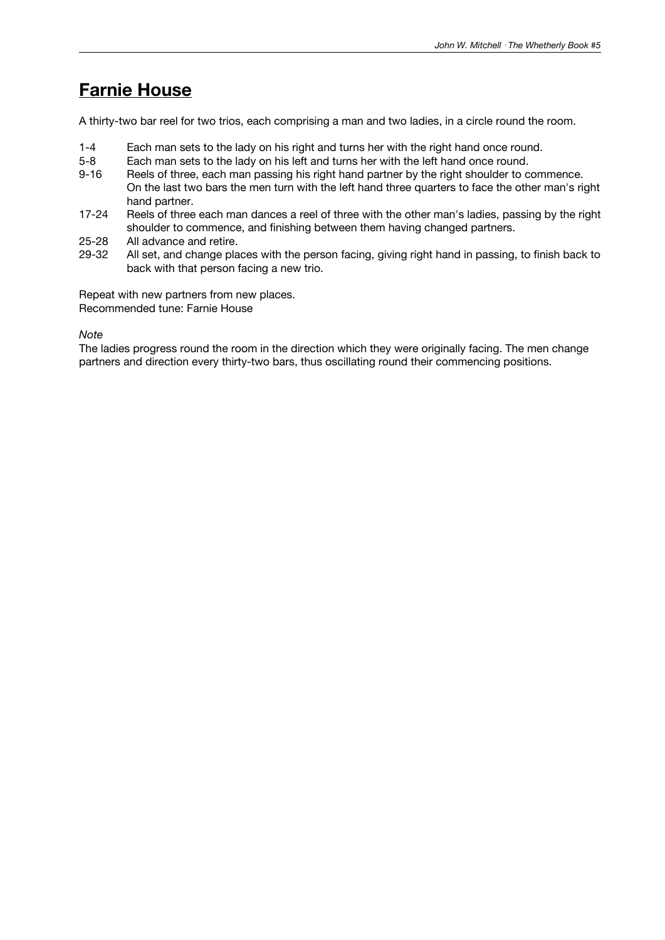### **Farnie House**

A thirty-two bar reel for two trios, each comprising a man and two ladies, in a circle round the room.

- 1-4 Each man sets to the lady on his right and turns her with the right hand once round.
- 5-8 Each man sets to the lady on his left and turns her with the left hand once round.
- 9-16 Reels of three, each man passing his right hand partner by the right shoulder to commence. On the last two bars the men turn with the left hand three quarters to face the other man's right hand partner.
- 17-24 Reels of three each man dances a reel of three with the other man's ladies, passing by the right shoulder to commence, and finishing between them having changed partners.
- 
- 25-28 All advance and retire.<br>29-32 All set, and change pla All set, and change places with the person facing, giving right hand in passing, to finish back to back with that person facing a new trio.

Repeat with new partners from new places. Recommended tune: Farnie House

#### *Note*

The ladies progress round the room in the direction which they were originally facing. The men change partners and direction every thirty-two bars, thus oscillating round their commencing positions.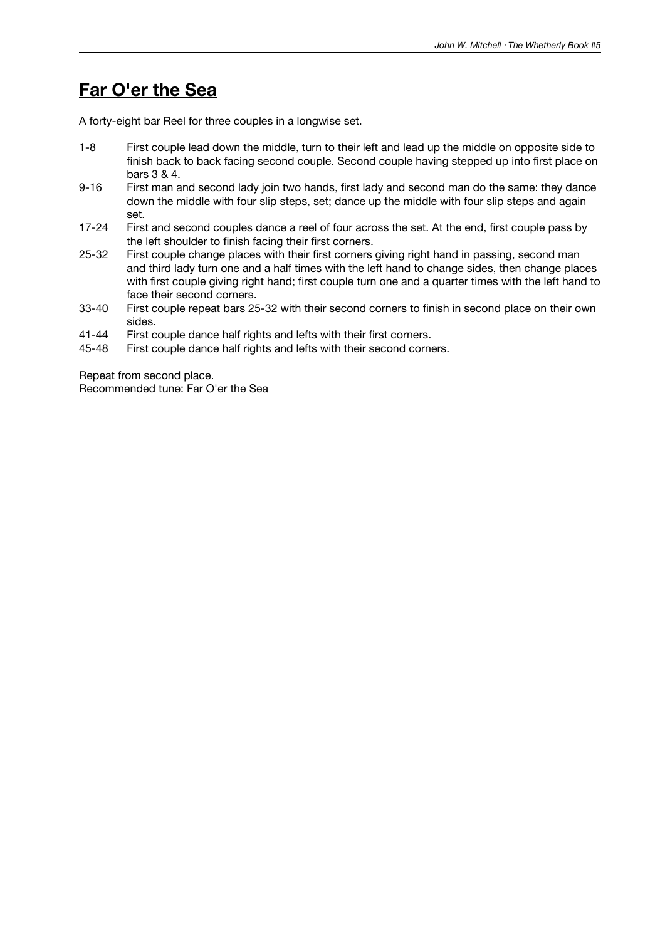### **Far O'er the Sea**

A forty-eight bar Reel for three couples in a longwise set.

- 1-8 First couple lead down the middle, turn to their left and lead up the middle on opposite side to finish back to back facing second couple. Second couple having stepped up into first place on bars 3 & 4.
- 9-16 First man and second lady join two hands, first lady and second man do the same: they dance down the middle with four slip steps, set; dance up the middle with four slip steps and again set.
- 17-24 First and second couples dance a reel of four across the set. At the end, first couple pass by the left shoulder to finish facing their first corners.
- 25-32 First couple change places with their first corners giving right hand in passing, second man and third lady turn one and a half times with the left hand to change sides, then change places with first couple giving right hand; first couple turn one and a quarter times with the left hand to face their second corners.
- 33-40 First couple repeat bars 25-32 with their second corners to finish in second place on their own sides.
- 41-44 First couple dance half rights and lefts with their first corners.
- 45-48 First couple dance half rights and lefts with their second corners.

Repeat from second place. Recommended tune: Far O'er the Sea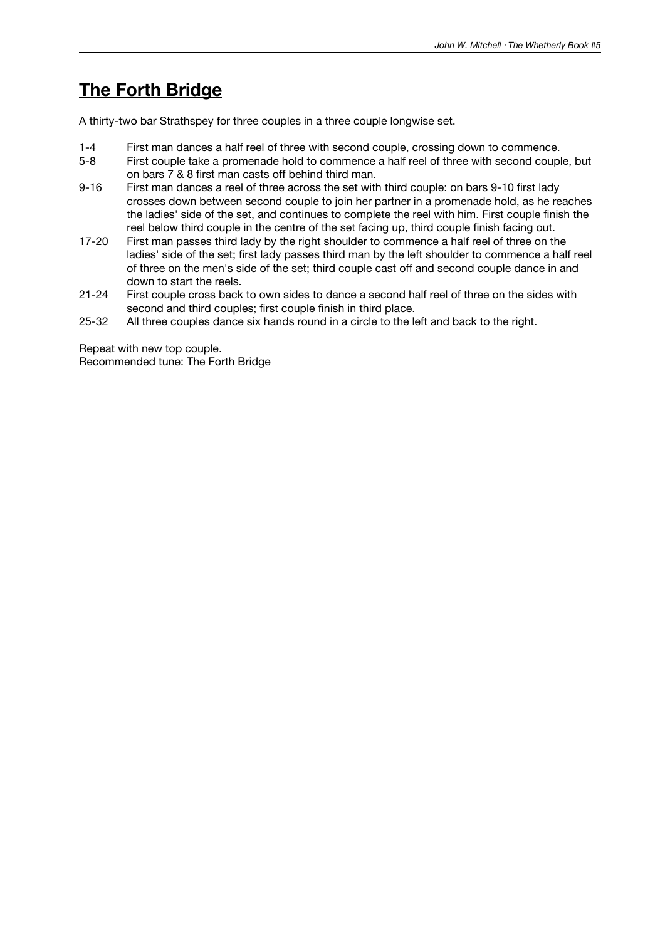### **The Forth Bridge**

A thirty-two bar Strathspey for three couples in a three couple longwise set.

- 1-4 First man dances a half reel of three with second couple, crossing down to commence.
- 5-8 First couple take a promenade hold to commence a half reel of three with second couple, but on bars 7 & 8 first man casts off behind third man.
- 9-16 First man dances a reel of three across the set with third couple: on bars 9-10 first lady crosses down between second couple to join her partner in a promenade hold, as he reaches the ladies' side of the set, and continues to complete the reel with him. First couple finish the reel below third couple in the centre of the set facing up, third couple finish facing out.
- 17-20 First man passes third lady by the right shoulder to commence a half reel of three on the ladies' side of the set; first lady passes third man by the left shoulder to commence a half reel of three on the men's side of the set; third couple cast off and second couple dance in and down to start the reels.
- 21-24 First couple cross back to own sides to dance a second half reel of three on the sides with second and third couples; first couple finish in third place.
- 25-32 All three couples dance six hands round in a circle to the left and back to the right.

Repeat with new top couple. Recommended tune: The Forth Bridge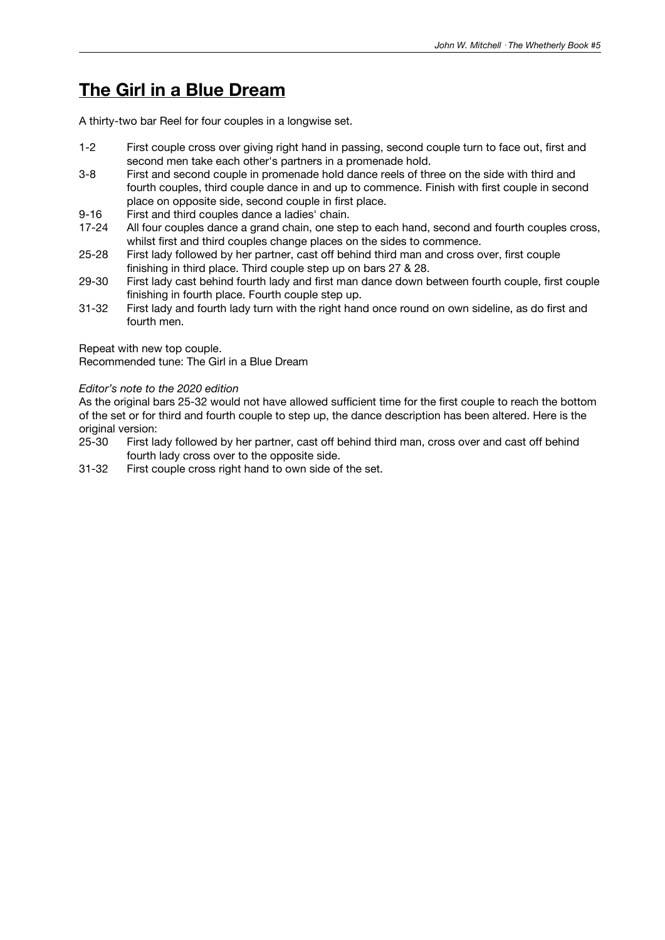### **The Girl in a Blue Dream**

A thirty-two bar Reel for four couples in a longwise set.

- 1-2 First couple cross over giving right hand in passing, second couple turn to face out, first and second men take each other's partners in a promenade hold.
- 3-8 First and second couple in promenade hold dance reels of three on the side with third and fourth couples, third couple dance in and up to commence. Finish with first couple in second place on opposite side, second couple in first place.
- 9-16 First and third couples dance a ladies' chain.
- 17-24 All four couples dance a grand chain, one step to each hand, second and fourth couples cross, whilst first and third couples change places on the sides to commence.
- 25-28 First lady followed by her partner, cast off behind third man and cross over, first couple finishing in third place. Third couple step up on bars 27 & 28.
- 29-30 First lady cast behind fourth lady and first man dance down between fourth couple, first couple finishing in fourth place. Fourth couple step up.
- 31-32 First lady and fourth lady turn with the right hand once round on own sideline, as do first and fourth men.

Repeat with new top couple.

Recommended tune: The Girl in a Blue Dream

#### *Editor's note to the 2020 edition*

As the original bars 25-32 would not have allowed sufficient time for the first couple to reach the bottom of the set or for third and fourth couple to step up, the dance description has been altered. Here is the original version:

- 25-30 First lady followed by her partner, cast off behind third man, cross over and cast off behind fourth lady cross over to the opposite side.
- 31-32 First couple cross right hand to own side of the set.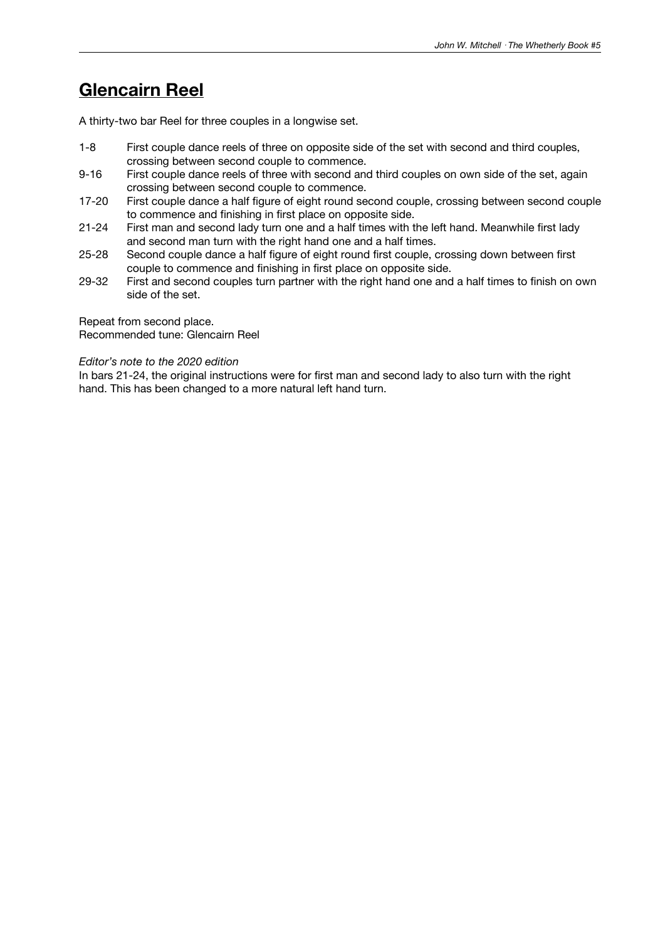### **Glencairn Reel**

A thirty-two bar Reel for three couples in a longwise set.

- 1-8 First couple dance reels of three on opposite side of the set with second and third couples, crossing between second couple to commence.
- 9-16 First couple dance reels of three with second and third couples on own side of the set, again crossing between second couple to commence.
- 17-20 First couple dance a half figure of eight round second couple, crossing between second couple to commence and finishing in first place on opposite side.
- 21-24 First man and second lady turn one and a half times with the left hand. Meanwhile first lady and second man turn with the right hand one and a half times.
- 25-28 Second couple dance a half figure of eight round first couple, crossing down between first couple to commence and finishing in first place on opposite side.
- 29-32 First and second couples turn partner with the right hand one and a half times to finish on own side of the set.

Repeat from second place. Recommended tune: Glencairn Reel

#### *Editor's note to the 2020 edition*

In bars 21-24, the original instructions were for first man and second lady to also turn with the right hand. This has been changed to a more natural left hand turn.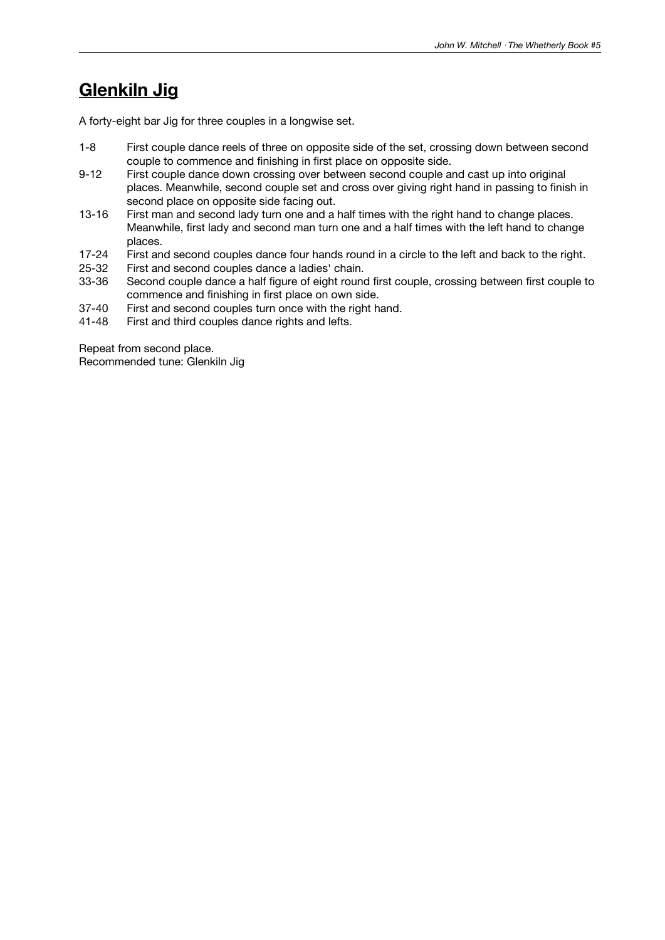### **Glenkiln Jig**

A forty-eight bar Jig for three couples in a longwise set.

- 1-8 First couple dance reels of three on opposite side of the set, crossing down between second couple to commence and finishing in first place on opposite side.
- 9-12 First couple dance down crossing over between second couple and cast up into original places. Meanwhile, second couple set and cross over giving right hand in passing to finish in second place on opposite side facing out.
- 13-16 First man and second lady turn one and a half times with the right hand to change places. Meanwhile, first lady and second man turn one and a half times with the left hand to change places.
- 17-24 First and second couples dance four hands round in a circle to the left and back to the right.<br>25-32 First and second couples dance a ladies' chain.
- 25-32 First and second couples dance a ladies' chain.<br>33-36 Second couple dance a half figure of eight round
- Second couple dance a half figure of eight round first couple, crossing between first couple to commence and finishing in first place on own side.
- 37-40 First and second couples turn once with the right hand.<br>41-48 First and third couples dance rights and lefts.
- First and third couples dance rights and lefts.

Repeat from second place. Recommended tune: Glenkiln Jig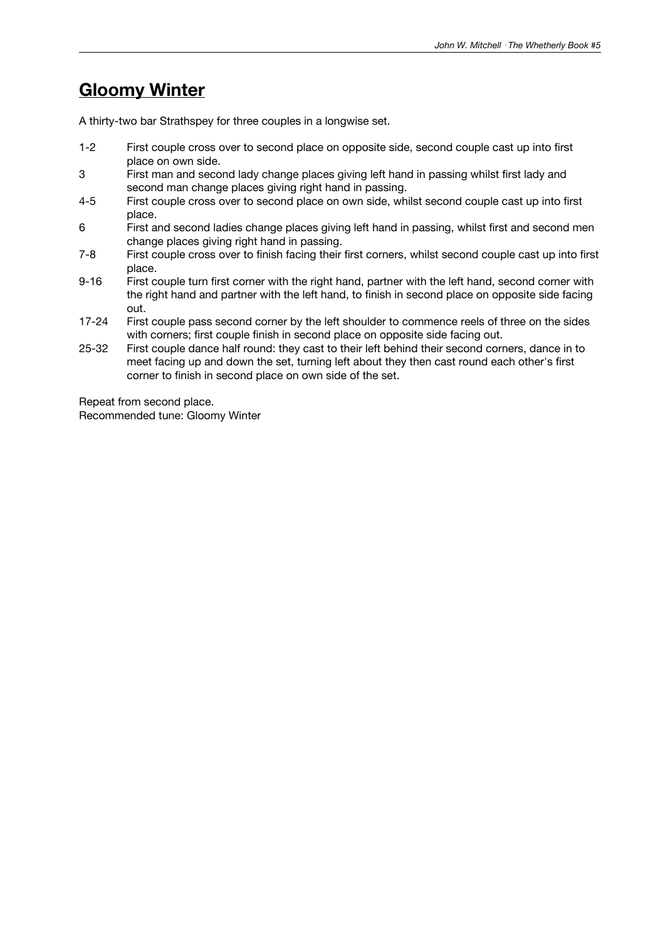### **Gloomy Winter**

A thirty-two bar Strathspey for three couples in a longwise set.

- 1-2 First couple cross over to second place on opposite side, second couple cast up into first place on own side.
- 3 First man and second lady change places giving left hand in passing whilst first lady and second man change places giving right hand in passing.
- 4-5 First couple cross over to second place on own side, whilst second couple cast up into first place.
- 6 First and second ladies change places giving left hand in passing, whilst first and second men change places giving right hand in passing.
- 7-8 First couple cross over to finish facing their first corners, whilst second couple cast up into first place.
- 9-16 First couple turn first corner with the right hand, partner with the left hand, second corner with the right hand and partner with the left hand, to finish in second place on opposite side facing out.
- 17-24 First couple pass second corner by the left shoulder to commence reels of three on the sides with corners; first couple finish in second place on opposite side facing out.
- 25-32 First couple dance half round: they cast to their left behind their second corners, dance in to meet facing up and down the set, turning left about they then cast round each other's first corner to finish in second place on own side of the set.

Repeat from second place. Recommended tune: Gloomy Winter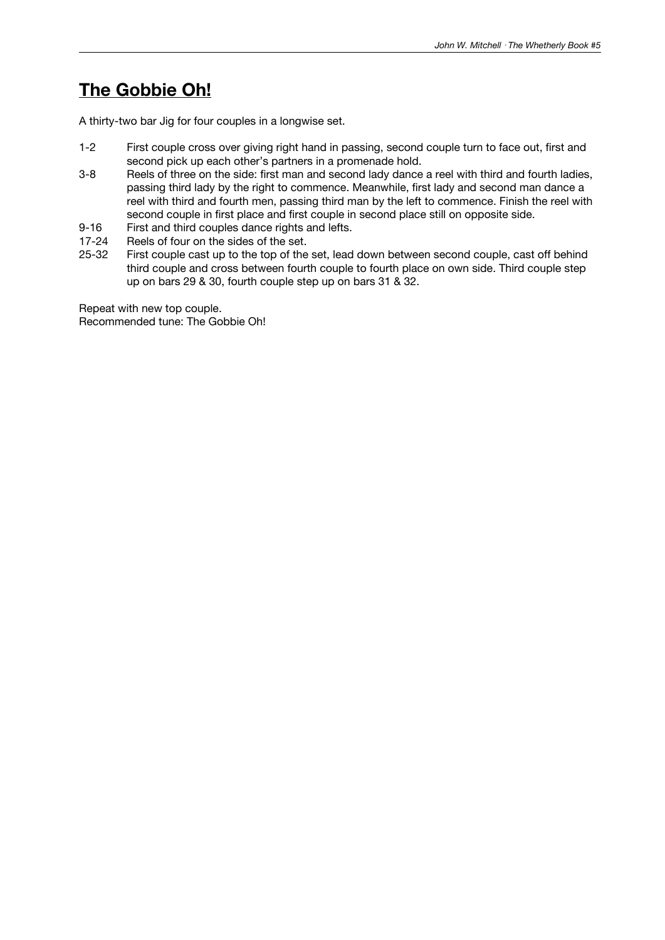### **The Gobbie Oh!**

A thirty-two bar Jig for four couples in a longwise set.

- 1-2 First couple cross over giving right hand in passing, second couple turn to face out, first and second pick up each other's partners in a promenade hold.
- 3-8 Reels of three on the side: first man and second lady dance a reel with third and fourth ladies, passing third lady by the right to commence. Meanwhile, first lady and second man dance a reel with third and fourth men, passing third man by the left to commence. Finish the reel with second couple in first place and first couple in second place still on opposite side.
- 9-16 First and third couples dance rights and lefts.
- 17-24 Reels of four on the sides of the set.<br>25-32 First couple cast up to the top of the
- First couple cast up to the top of the set, lead down between second couple, cast off behind third couple and cross between fourth couple to fourth place on own side. Third couple step up on bars 29 & 30, fourth couple step up on bars 31 & 32.

Repeat with new top couple. Recommended tune: The Gobbie Oh!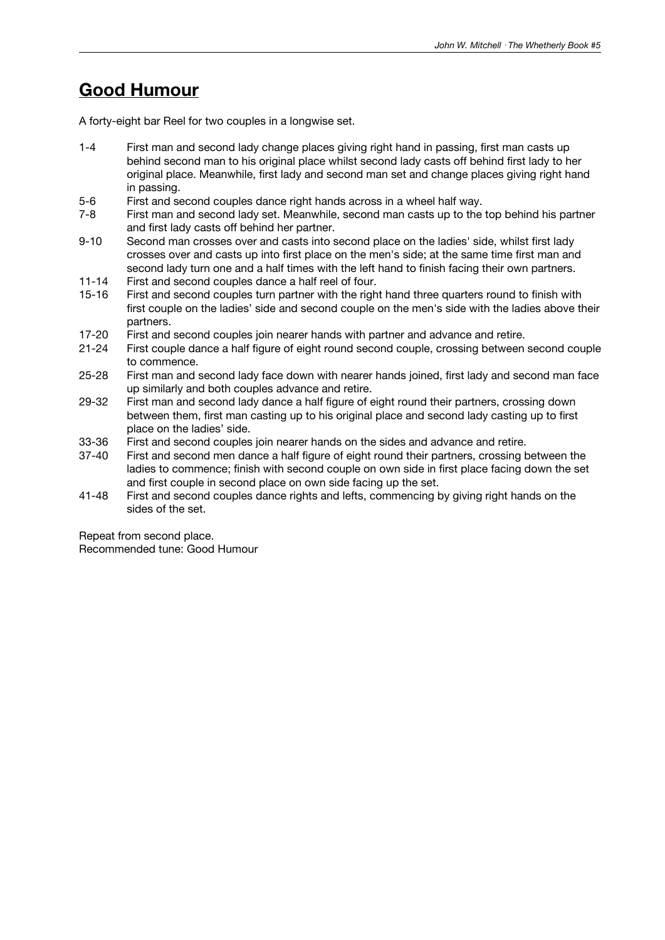### **Good Humour**

A forty-eight bar Reel for two couples in a longwise set.

- 1-4 First man and second lady change places giving right hand in passing, first man casts up behind second man to his original place whilst second lady casts off behind first lady to her original place. Meanwhile, first lady and second man set and change places giving right hand in passing.
- 5-6 First and second couples dance right hands across in a wheel half way.
- 7-8 First man and second lady set. Meanwhile, second man casts up to the top behind his partner and first lady casts off behind her partner.
- 9-10 Second man crosses over and casts into second place on the ladies' side, whilst first lady crosses over and casts up into first place on the men's side; at the same time first man and second lady turn one and a half times with the left hand to finish facing their own partners.
- 11-14 First and second couples dance a half reel of four.
- 15-16 First and second couples turn partner with the right hand three quarters round to finish with first couple on the ladies' side and second couple on the men's side with the ladies above their partners.
- 17-20 First and second couples join nearer hands with partner and advance and retire.
- 21-24 First couple dance a half figure of eight round second couple, crossing between second couple to commence.
- 25-28 First man and second lady face down with nearer hands joined, first lady and second man face up similarly and both couples advance and retire.
- 29-32 First man and second lady dance a half figure of eight round their partners, crossing down between them, first man casting up to his original place and second lady casting up to first place on the ladies' side.
- 33-36 First and second couples join nearer hands on the sides and advance and retire.
- 37-40 First and second men dance a half figure of eight round their partners, crossing between the ladies to commence; finish with second couple on own side in first place facing down the set and first couple in second place on own side facing up the set.
- 41-48 First and second couples dance rights and lefts, commencing by giving right hands on the sides of the set.

Repeat from second place. Recommended tune: Good Humour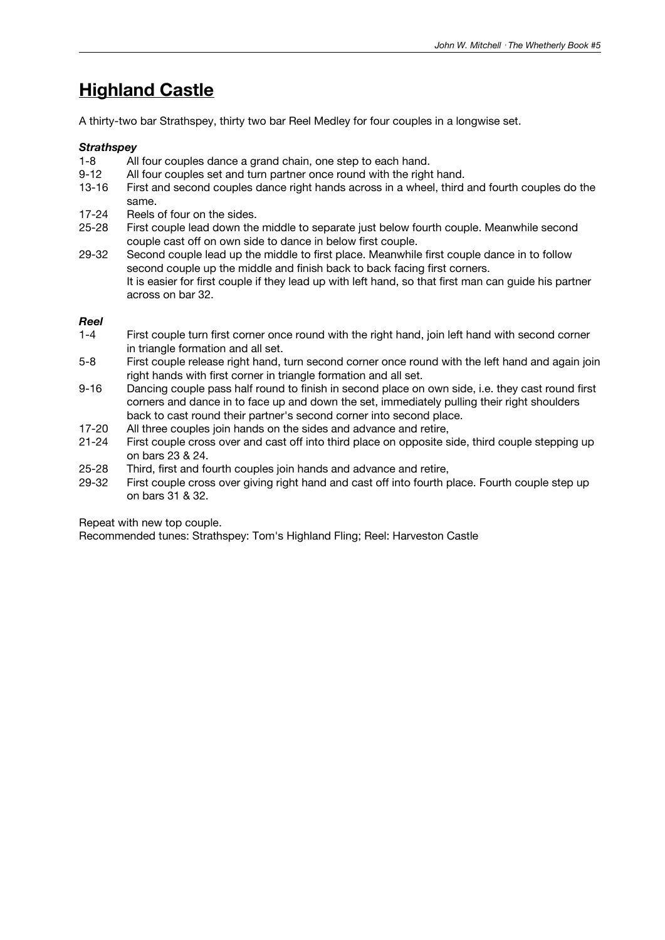## **Highland Castle**

A thirty-two bar Strathspey, thirty two bar Reel Medley for four couples in a longwise set.

#### *Strathspey*

- 1-8 All four couples dance a grand chain, one step to each hand.<br>9-12 All four couples set and turn partner once round with the right
- All four couples set and turn partner once round with the right hand.
- 13-16 First and second couples dance right hands across in a wheel, third and fourth couples do the same.
- 17-24 Reels of four on the sides.
- 25-28 First couple lead down the middle to separate just below fourth couple. Meanwhile second couple cast off on own side to dance in below first couple.
- 29-32 Second couple lead up the middle to first place. Meanwhile first couple dance in to follow second couple up the middle and finish back to back facing first corners. It is easier for first couple if they lead up with left hand, so that first man can guide his partner across on bar 32.

#### *Reel*

- 1-4 First couple turn first corner once round with the right hand, join left hand with second corner in triangle formation and all set.
- 5-8 First couple release right hand, turn second corner once round with the left hand and again join right hands with first corner in triangle formation and all set.
- 9-16 Dancing couple pass half round to finish in second place on own side, i.e. they cast round first corners and dance in to face up and down the set, immediately pulling their right shoulders back to cast round their partner's second corner into second place.
- 17-20 All three couples join hands on the sides and advance and retire,
- 21-24 First couple cross over and cast off into third place on opposite side, third couple stepping up on bars 23 & 24.
- 25-28 Third, first and fourth couples join hands and advance and retire,
- 29-32 First couple cross over giving right hand and cast off into fourth place. Fourth couple step up on bars 31 & 32.

Repeat with new top couple.

Recommended tunes: Strathspey: Tom's Highland Fling; Reel: Harveston Castle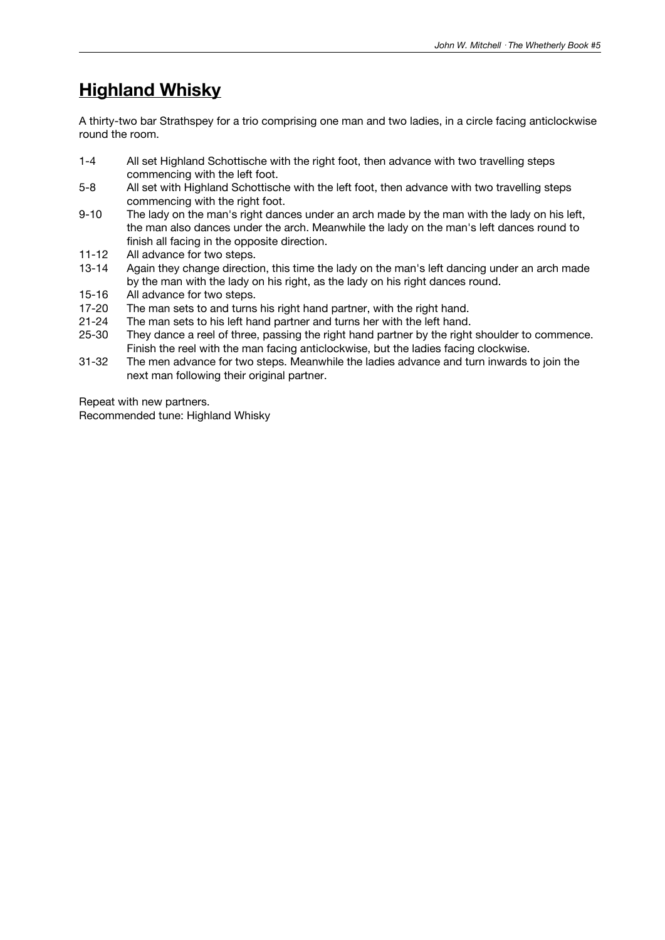### **Highland Whisky**

A thirty-two bar Strathspey for a trio comprising one man and two ladies, in a circle facing anticlockwise round the room.

- 1-4 All set Highland Schottische with the right foot, then advance with two travelling steps commencing with the left foot.
- 5-8 All set with Highland Schottische with the left foot, then advance with two travelling steps commencing with the right foot.
- 9-10 The lady on the man's right dances under an arch made by the man with the lady on his left, the man also dances under the arch. Meanwhile the lady on the man's left dances round to finish all facing in the opposite direction.
- 11-12 All advance for two steps.<br>13-14 Again they change directic
- Again they change direction, this time the lady on the man's left dancing under an arch made by the man with the lady on his right, as the lady on his right dances round.
- 15-16 All advance for two steps.<br>17-20 The man sets to and turns
- The man sets to and turns his right hand partner, with the right hand.
- 21-24 The man sets to his left hand partner and turns her with the left hand.
- 25-30 They dance a reel of three, passing the right hand partner by the right shoulder to commence. Finish the reel with the man facing anticlockwise, but the ladies facing clockwise.
- 31-32 The men advance for two steps. Meanwhile the ladies advance and turn inwards to join the next man following their original partner.

Repeat with new partners. Recommended tune: Highland Whisky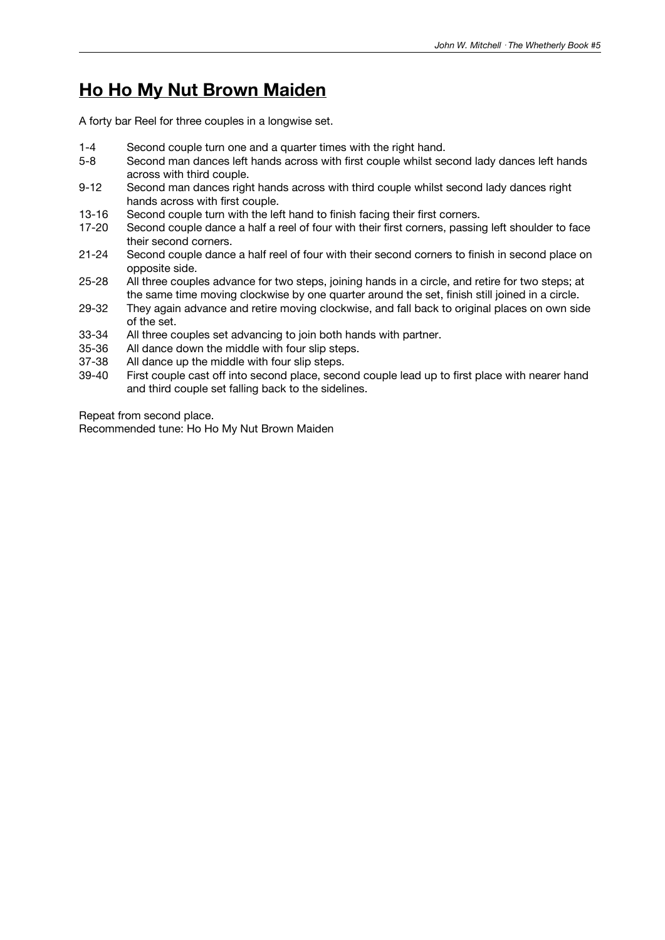### **Ho Ho My Nut Brown Maiden**

A forty bar Reel for three couples in a longwise set.

- 1-4 Second couple turn one and a quarter times with the right hand.
- 5-8 Second man dances left hands across with first couple whilst second lady dances left hands across with third couple.
- 9-12 Second man dances right hands across with third couple whilst second lady dances right hands across with first couple.
- 13-16 Second couple turn with the left hand to finish facing their first corners.
- 17-20 Second couple dance a half a reel of four with their first corners, passing left shoulder to face their second corners.
- 21-24 Second couple dance a half reel of four with their second corners to finish in second place on opposite side.
- 25-28 All three couples advance for two steps, joining hands in a circle, and retire for two steps; at the same time moving clockwise by one quarter around the set, finish still joined in a circle.
- 29-32 They again advance and retire moving clockwise, and fall back to original places on own side of the set.
- 33-34 All three couples set advancing to join both hands with partner.
- 35-36 All dance down the middle with four slip steps.
- 37-38 All dance up the middle with four slip steps.
- 39-40 First couple cast off into second place, second couple lead up to first place with nearer hand and third couple set falling back to the sidelines.

Repeat from second place.

Recommended tune: Ho Ho My Nut Brown Maiden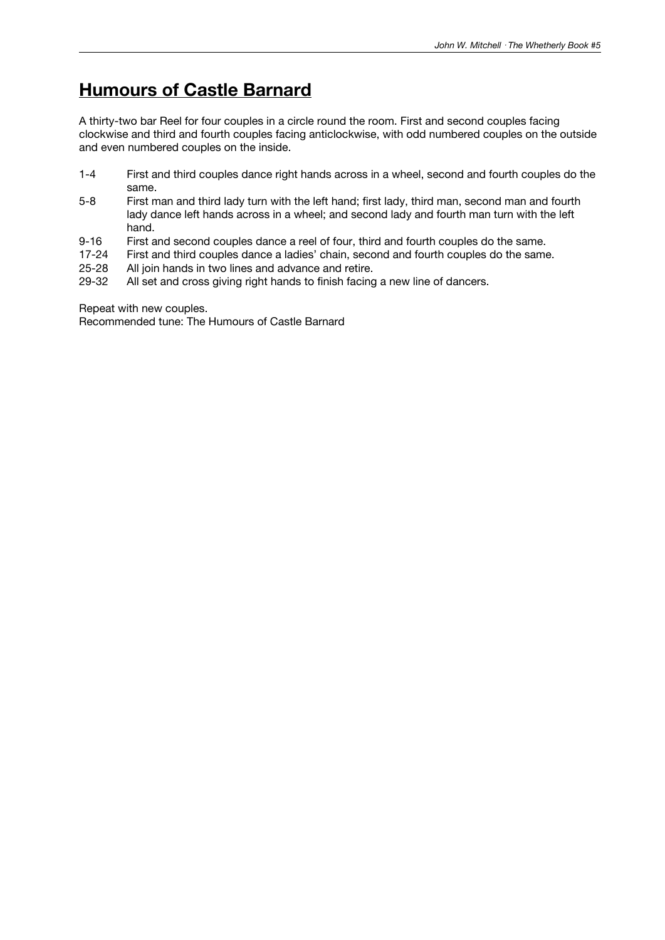### **Humours of Castle Barnard**

A thirty-two bar Reel for four couples in a circle round the room. First and second couples facing clockwise and third and fourth couples facing anticlockwise, with odd numbered couples on the outside and even numbered couples on the inside.

- 1-4 First and third couples dance right hands across in a wheel, second and fourth couples do the same.
- 5-8 First man and third lady turn with the left hand; first lady, third man, second man and fourth lady dance left hands across in a wheel; and second lady and fourth man turn with the left hand.
- 9-16 First and second couples dance a reel of four, third and fourth couples do the same.<br>17-24 First and third couples dance a ladies' chain, second and fourth couples do the same
- 17-24 First and third couples dance a ladies' chain, second and fourth couples do the same.<br>25-28 All join hands in two lines and advance and retire.
- 25-28 All join hands in two lines and advance and retire.<br>29-32 All set and cross giving right hands to finish facing
- All set and cross giving right hands to finish facing a new line of dancers.

Repeat with new couples.

Recommended tune: The Humours of Castle Barnard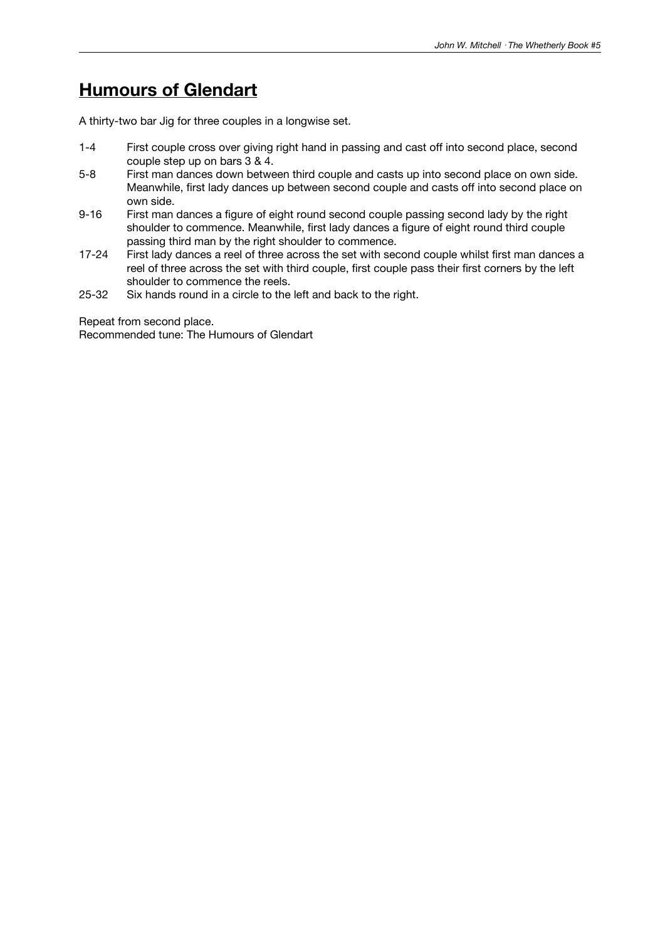### **Humours of Glendart**

A thirty-two bar Jig for three couples in a longwise set.

- 1-4 First couple cross over giving right hand in passing and cast off into second place, second couple step up on bars 3 & 4.
- 5-8 First man dances down between third couple and casts up into second place on own side. Meanwhile, first lady dances up between second couple and casts off into second place on own side.
- 9-16 First man dances a figure of eight round second couple passing second lady by the right shoulder to commence. Meanwhile, first lady dances a figure of eight round third couple passing third man by the right shoulder to commence.
- 17-24 First lady dances a reel of three across the set with second couple whilst first man dances a reel of three across the set with third couple, first couple pass their first corners by the left shoulder to commence the reels.
- 25-32 Six hands round in a circle to the left and back to the right.

Repeat from second place. Recommended tune: The Humours of Glendart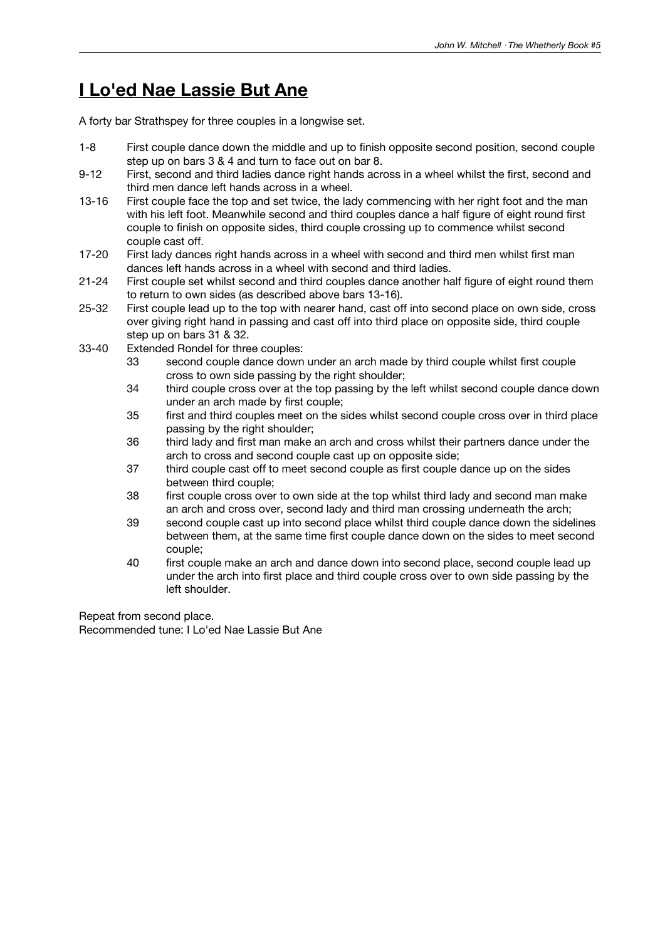### **I Lo'ed Nae Lassie But Ane**

A forty bar Strathspey for three couples in a longwise set.

- 1-8 First couple dance down the middle and up to finish opposite second position, second couple step up on bars 3 & 4 and turn to face out on bar 8.
- 9-12 First, second and third ladies dance right hands across in a wheel whilst the first, second and third men dance left hands across in a wheel.
- 13-16 First couple face the top and set twice, the lady commencing with her right foot and the man with his left foot. Meanwhile second and third couples dance a half figure of eight round first couple to finish on opposite sides, third couple crossing up to commence whilst second couple cast off.
- 17-20 First lady dances right hands across in a wheel with second and third men whilst first man dances left hands across in a wheel with second and third ladies.
- 21-24 First couple set whilst second and third couples dance another half figure of eight round them to return to own sides (as described above bars 13-16).
- 25-32 First couple lead up to the top with nearer hand, cast off into second place on own side, cross over giving right hand in passing and cast off into third place on opposite side, third couple step up on bars 31 & 32.
- 33-40 Extended Rondel for three couples:
	- 33 second couple dance down under an arch made by third couple whilst first couple cross to own side passing by the right shoulder;
	- 34 third couple cross over at the top passing by the left whilst second couple dance down under an arch made by first couple;
	- 35 first and third couples meet on the sides whilst second couple cross over in third place passing by the right shoulder;
	- 36 third lady and first man make an arch and cross whilst their partners dance under the arch to cross and second couple cast up on opposite side;
	- 37 third couple cast off to meet second couple as first couple dance up on the sides between third couple;
	- 38 first couple cross over to own side at the top whilst third lady and second man make an arch and cross over, second lady and third man crossing underneath the arch;
	- 39 second couple cast up into second place whilst third couple dance down the sidelines between them, at the same time first couple dance down on the sides to meet second couple;
	- 40 first couple make an arch and dance down into second place, second couple lead up under the arch into first place and third couple cross over to own side passing by the left shoulder.

Repeat from second place. Recommended tune: I Lo'ed Nae Lassie But Ane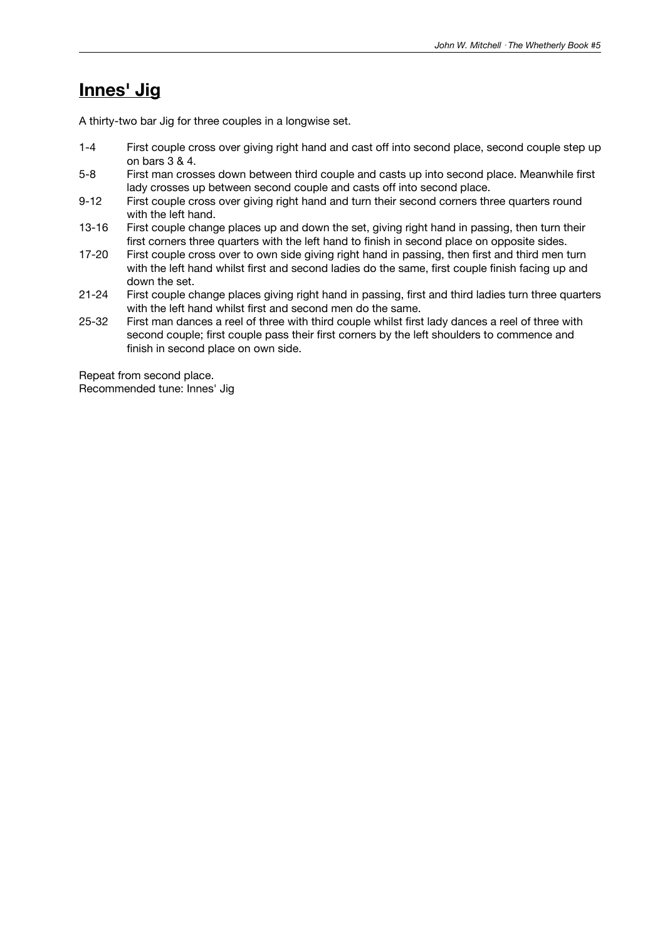### **Innes' Jig**

A thirty-two bar Jig for three couples in a longwise set.

- 1-4 First couple cross over giving right hand and cast off into second place, second couple step up on bars 3 & 4.
- 5-8 First man crosses down between third couple and casts up into second place. Meanwhile first lady crosses up between second couple and casts off into second place.
- 9-12 First couple cross over giving right hand and turn their second corners three quarters round with the left hand.
- 13-16 First couple change places up and down the set, giving right hand in passing, then turn their first corners three quarters with the left hand to finish in second place on opposite sides.
- 17-20 First couple cross over to own side giving right hand in passing, then first and third men turn with the left hand whilst first and second ladies do the same, first couple finish facing up and down the set.
- 21-24 First couple change places giving right hand in passing, first and third ladies turn three quarters with the left hand whilst first and second men do the same.
- 25-32 First man dances a reel of three with third couple whilst first lady dances a reel of three with second couple; first couple pass their first corners by the left shoulders to commence and finish in second place on own side.

Repeat from second place. Recommended tune: Innes' Jig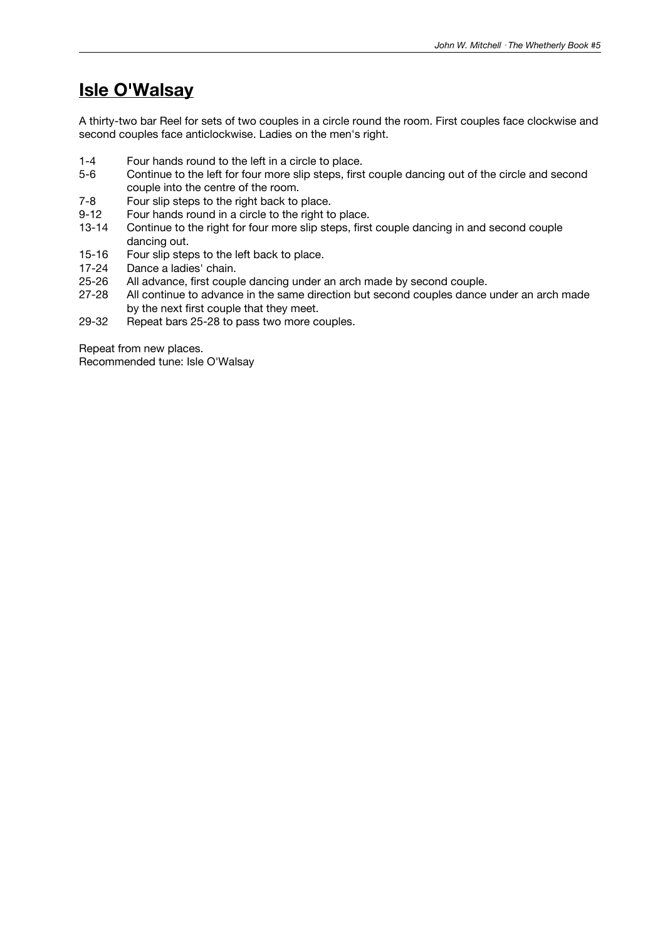### **Isle O'Walsay**

A thirty-two bar Reel for sets of two couples in a circle round the room. First couples face clockwise and second couples face anticlockwise. Ladies on the men's right.

- 1-4 Four hands round to the left in a circle to place.<br>5-6 Continue to the left for four more slip steps, first
- Continue to the left for four more slip steps, first couple dancing out of the circle and second couple into the centre of the room.
- 7-8 Four slip steps to the right back to place.<br>9-12 Four hands round in a circle to the right to
- Four hands round in a circle to the right to place.
- 13-14 Continue to the right for four more slip steps, first couple dancing in and second couple dancing out.
- 15-16 Four slip steps to the left back to place.<br>17-24 Dance a ladies' chain.
- 17-24 Dance a ladies' chain.<br>25-26 All advance, first coup
- All advance, first couple dancing under an arch made by second couple.
- 27-28 All continue to advance in the same direction but second couples dance under an arch made by the next first couple that they meet.
- 29-32 Repeat bars 25-28 to pass two more couples.

Repeat from new places. Recommended tune: Isle O'Walsay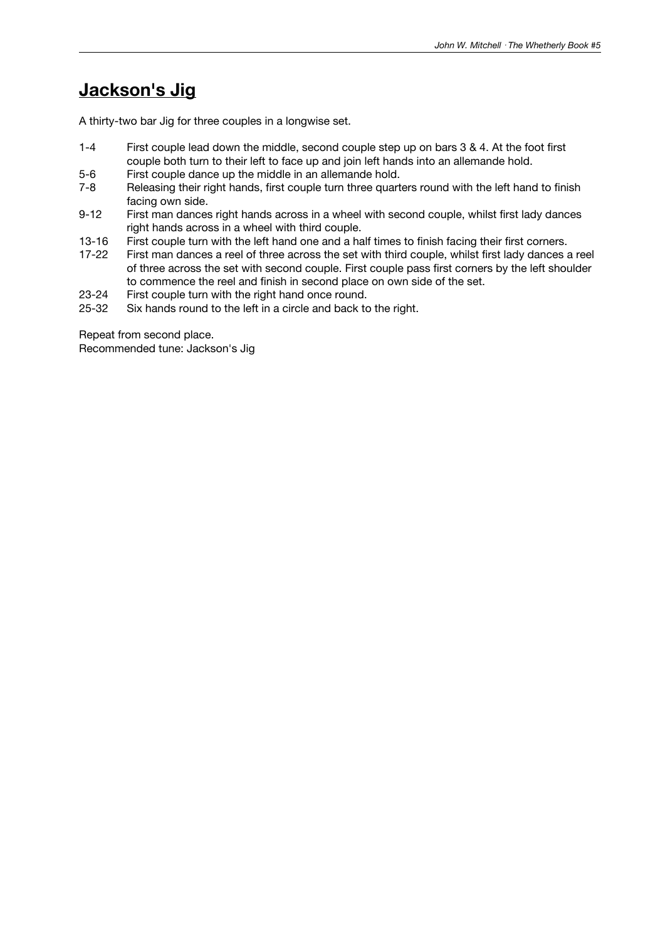### **Jackson's Jig**

A thirty-two bar Jig for three couples in a longwise set.

- 1-4 First couple lead down the middle, second couple step up on bars 3 & 4. At the foot first couple both turn to their left to face up and join left hands into an allemande hold.
- 5-6 First couple dance up the middle in an allemande hold.<br>7-8 Releasing their right hands, first couple turn three quart
- Releasing their right hands, first couple turn three quarters round with the left hand to finish facing own side.
- 9-12 First man dances right hands across in a wheel with second couple, whilst first lady dances right hands across in a wheel with third couple.
- 13-16 First couple turn with the left hand one and a half times to finish facing their first corners.<br>17-22 First man dances a reel of three across the set with third couple, whilst first lady dances a
- First man dances a reel of three across the set with third couple, whilst first lady dances a reel of three across the set with second couple. First couple pass first corners by the left shoulder to commence the reel and finish in second place on own side of the set.
- 23-24 First couple turn with the right hand once round.<br>25-32 Six hands round to the left in a circle and back to
- Six hands round to the left in a circle and back to the right.

Repeat from second place.

Recommended tune: Jackson's Jig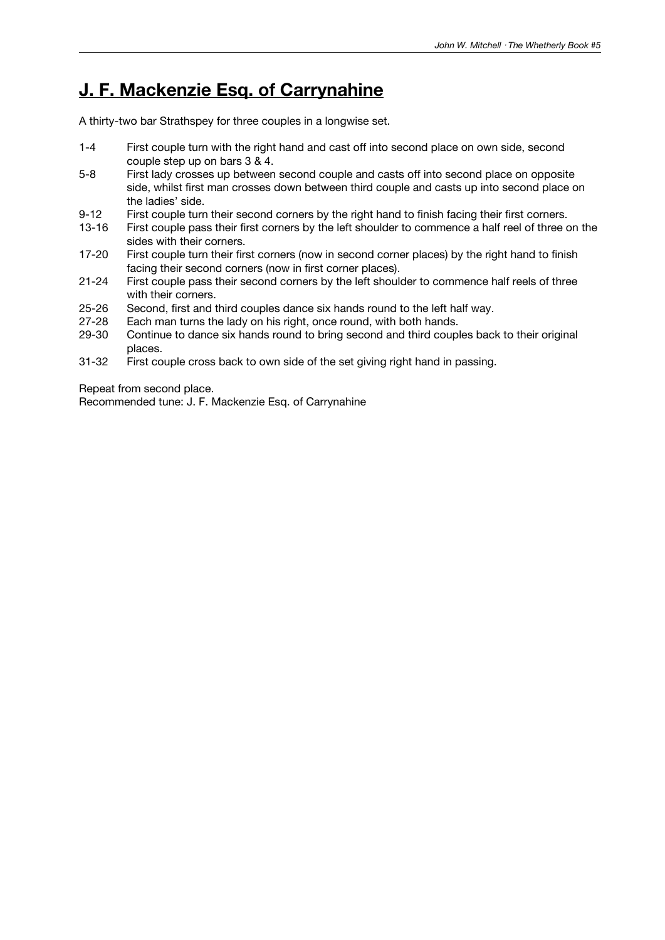### **J. F. Mackenzie Esq. of Carrynahine**

A thirty-two bar Strathspey for three couples in a longwise set.

- 1-4 First couple turn with the right hand and cast off into second place on own side, second couple step up on bars 3 & 4.
- 5-8 First lady crosses up between second couple and casts off into second place on opposite side, whilst first man crosses down between third couple and casts up into second place on the ladies' side.
- 9-12 First couple turn their second corners by the right hand to finish facing their first corners.
- 13-16 First couple pass their first corners by the left shoulder to commence a half reel of three on the sides with their corners.
- 17-20 First couple turn their first corners (now in second corner places) by the right hand to finish facing their second corners (now in first corner places).
- 21-24 First couple pass their second corners by the left shoulder to commence half reels of three with their corners.
- 25-26 Second, first and third couples dance six hands round to the left half way.
- 27-28 Each man turns the lady on his right, once round, with both hands.
- 29-30 Continue to dance six hands round to bring second and third couples back to their original places.
- 31-32 First couple cross back to own side of the set giving right hand in passing.

Repeat from second place.

Recommended tune: J. F. Mackenzie Esq. of Carrynahine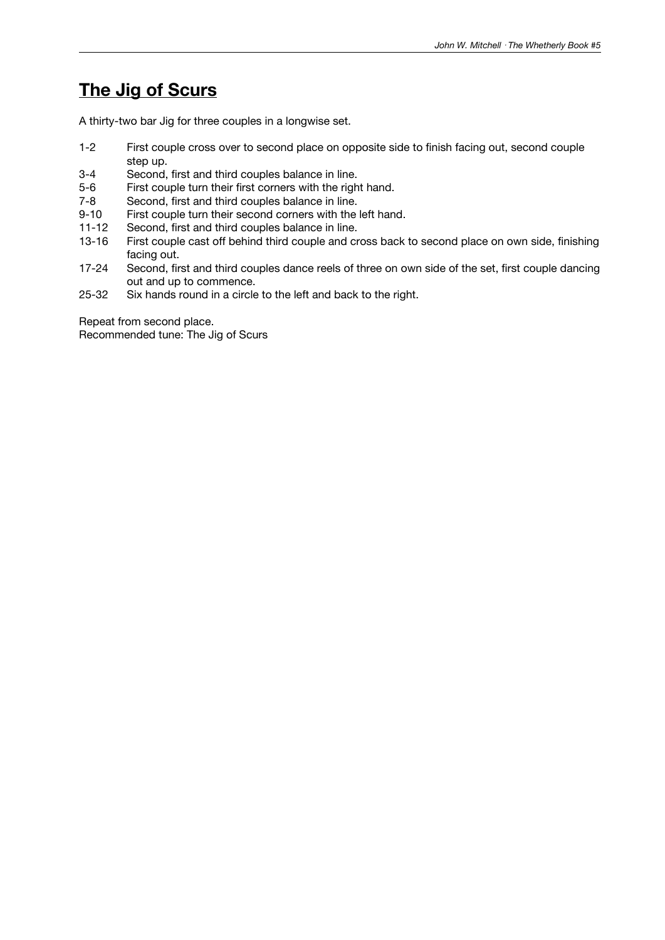## **The Jig of Scurs**

A thirty-two bar Jig for three couples in a longwise set.

- 1-2 First couple cross over to second place on opposite side to finish facing out, second couple step up.
- 3-4 Second, first and third couples balance in line.
- 5-6 First couple turn their first corners with the right hand.
- 7-8 Second, first and third couples balance in line.<br>9-10 First couple turn their second corners with the
- First couple turn their second corners with the left hand.
- 11-12 Second, first and third couples balance in line.
- 13-16 First couple cast off behind third couple and cross back to second place on own side, finishing facing out.
- 17-24 Second, first and third couples dance reels of three on own side of the set, first couple dancing out and up to commence.
- 25-32 Six hands round in a circle to the left and back to the right.

Repeat from second place. Recommended tune: The Jig of Scurs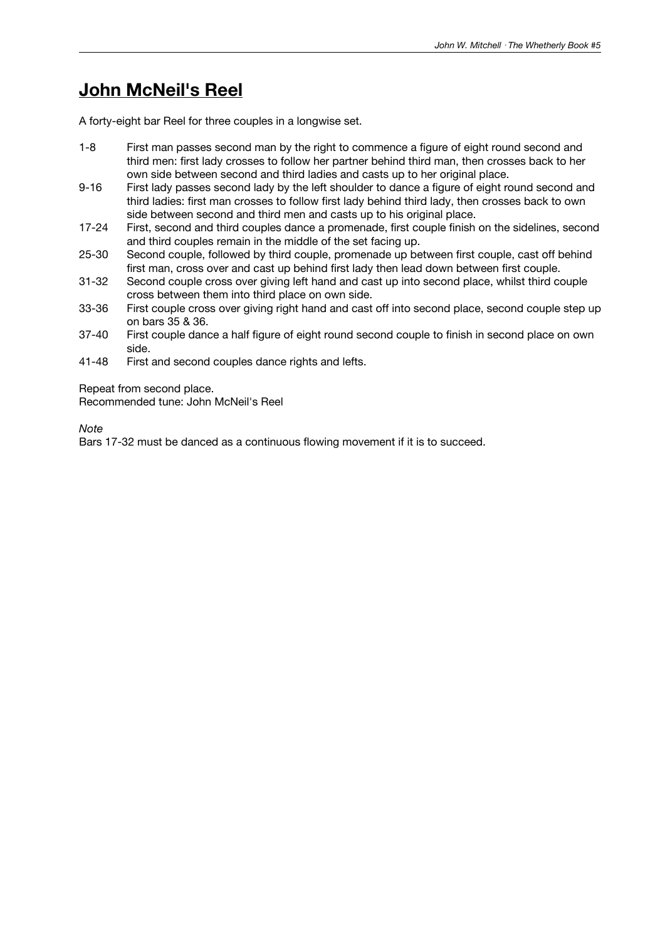### **John McNeil's Reel**

A forty-eight bar Reel for three couples in a longwise set.

- 1-8 First man passes second man by the right to commence a figure of eight round second and third men: first lady crosses to follow her partner behind third man, then crosses back to her own side between second and third ladies and casts up to her original place.
- 9-16 First lady passes second lady by the left shoulder to dance a figure of eight round second and third ladies: first man crosses to follow first lady behind third lady, then crosses back to own side between second and third men and casts up to his original place.
- 17-24 First, second and third couples dance a promenade, first couple finish on the sidelines, second and third couples remain in the middle of the set facing up.
- 25-30 Second couple, followed by third couple, promenade up between first couple, cast off behind first man, cross over and cast up behind first lady then lead down between first couple.
- 31-32 Second couple cross over giving left hand and cast up into second place, whilst third couple cross between them into third place on own side.
- 33-36 First couple cross over giving right hand and cast off into second place, second couple step up on bars 35 & 36.
- 37-40 First couple dance a half figure of eight round second couple to finish in second place on own side.
- 41-48 First and second couples dance rights and lefts.

Repeat from second place.

Recommended tune: John McNeil's Reel

*Note*

Bars 17-32 must be danced as a continuous flowing movement if it is to succeed.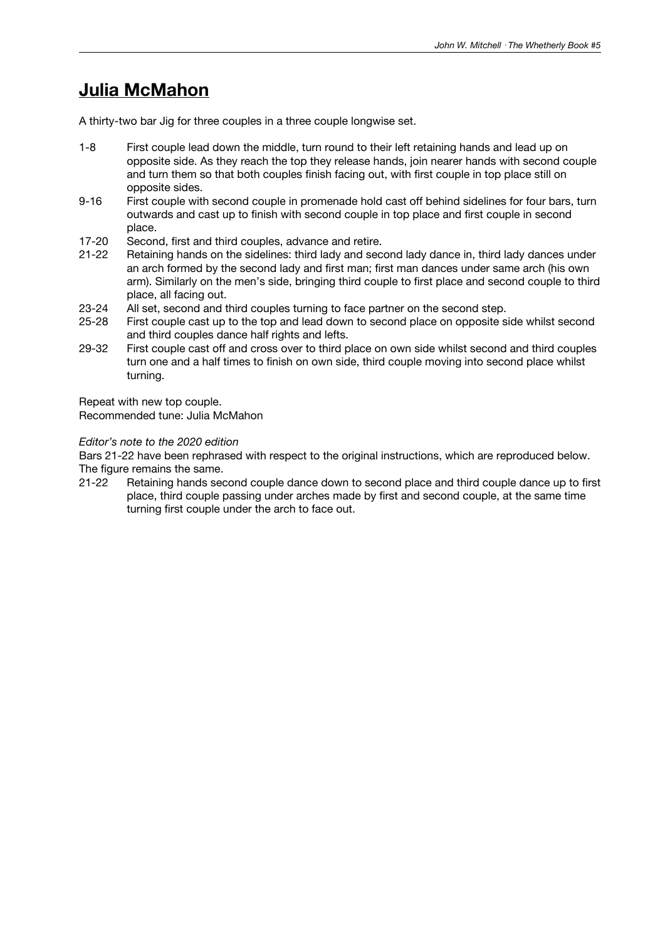### **Julia McMahon**

A thirty-two bar Jig for three couples in a three couple longwise set.

- 1-8 First couple lead down the middle, turn round to their left retaining hands and lead up on opposite side. As they reach the top they release hands, join nearer hands with second couple and turn them so that both couples finish facing out, with first couple in top place still on opposite sides.
- 9-16 First couple with second couple in promenade hold cast off behind sidelines for four bars, turn outwards and cast up to finish with second couple in top place and first couple in second place.
- 17-20 Second, first and third couples, advance and retire.
- 21-22 Retaining hands on the sidelines: third lady and second lady dance in, third lady dances under an arch formed by the second lady and first man; first man dances under same arch (his own arm). Similarly on the men's side, bringing third couple to first place and second couple to third place, all facing out.
- 23-24 All set, second and third couples turning to face partner on the second step.
- 25-28 First couple cast up to the top and lead down to second place on opposite side whilst second and third couples dance half rights and lefts.
- 29-32 First couple cast off and cross over to third place on own side whilst second and third couples turn one and a half times to finish on own side, third couple moving into second place whilst turning.

Repeat with new top couple.

Recommended tune: Julia McMahon

#### *Editor's note to the 2020 edition*

Bars 21-22 have been rephrased with respect to the original instructions, which are reproduced below. The figure remains the same.

21-22 Retaining hands second couple dance down to second place and third couple dance up to first place, third couple passing under arches made by first and second couple, at the same time turning first couple under the arch to face out.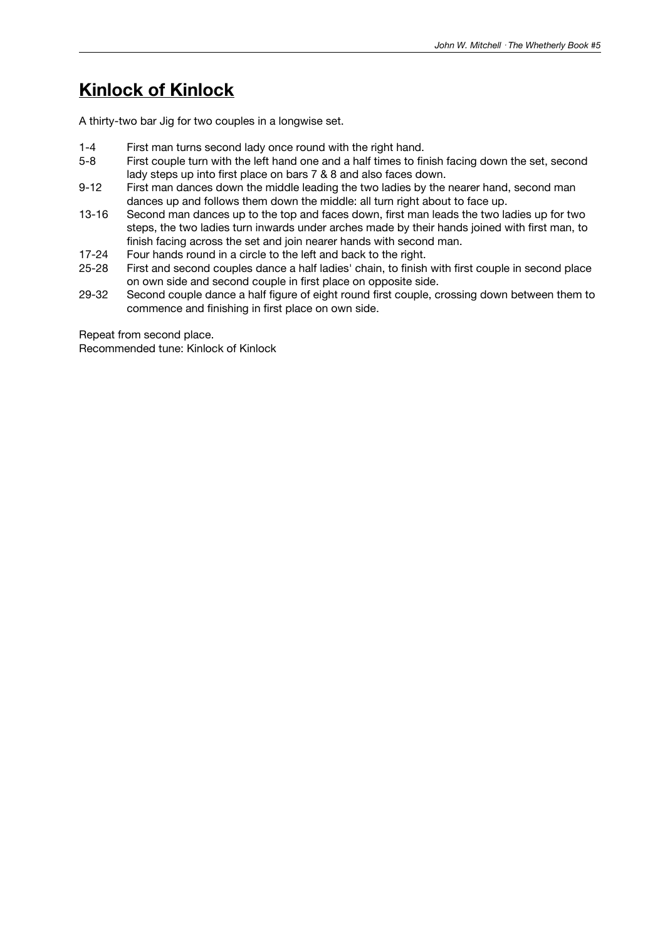# **Kinlock of Kinlock**

A thirty-two bar Jig for two couples in a longwise set.

- 1-4 First man turns second lady once round with the right hand.
- 5-8 First couple turn with the left hand one and a half times to finish facing down the set, second lady steps up into first place on bars 7 & 8 and also faces down.
- 9-12 First man dances down the middle leading the two ladies by the nearer hand, second man dances up and follows them down the middle: all turn right about to face up.
- 13-16 Second man dances up to the top and faces down, first man leads the two ladies up for two steps, the two ladies turn inwards under arches made by their hands joined with first man, to finish facing across the set and join nearer hands with second man.
- 17-24 Four hands round in a circle to the left and back to the right.<br>25-28 First and second couples dance a half ladies' chain, to finish
- First and second couples dance a half ladies' chain, to finish with first couple in second place on own side and second couple in first place on opposite side.
- 29-32 Second couple dance a half figure of eight round first couple, crossing down between them to commence and finishing in first place on own side.

Repeat from second place. Recommended tune: Kinlock of Kinlock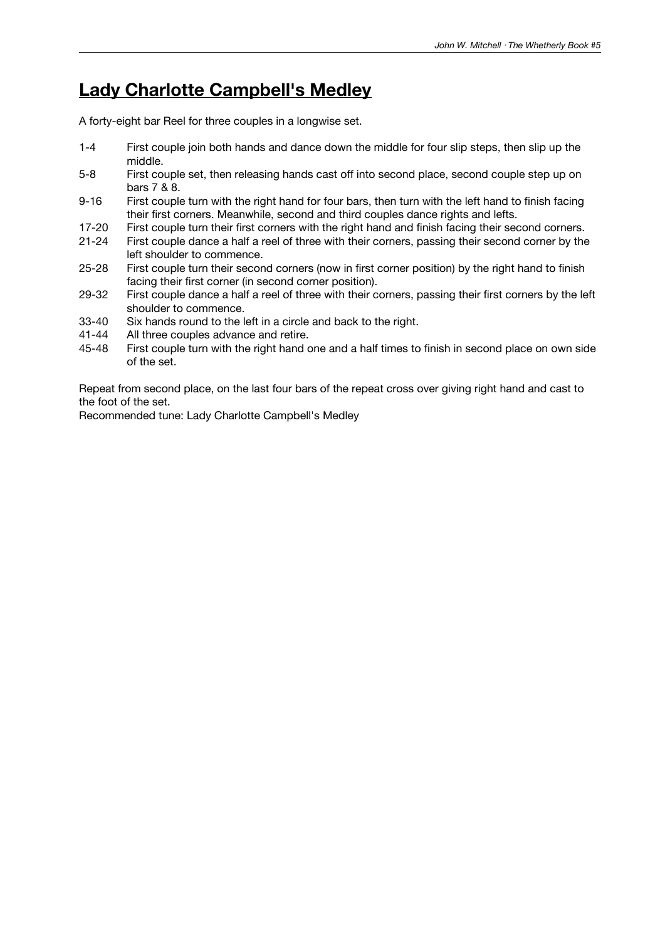### **Lady Charlotte Campbell's Medley**

A forty-eight bar Reel for three couples in a longwise set.

- 1-4 First couple join both hands and dance down the middle for four slip steps, then slip up the middle.
- 5-8 First couple set, then releasing hands cast off into second place, second couple step up on bars 7 & 8.
- 9-16 First couple turn with the right hand for four bars, then turn with the left hand to finish facing their first corners. Meanwhile, second and third couples dance rights and lefts.
- 17-20 First couple turn their first corners with the right hand and finish facing their second corners.
- 21-24 First couple dance a half a reel of three with their corners, passing their second corner by the left shoulder to commence.
- 25-28 First couple turn their second corners (now in first corner position) by the right hand to finish facing their first corner (in second corner position).
- 29-32 First couple dance a half a reel of three with their corners, passing their first corners by the left shoulder to commence.
- 33-40 Six hands round to the left in a circle and back to the right.
- 41-44 All three couples advance and retire.
- 45-48 First couple turn with the right hand one and a half times to finish in second place on own side of the set.

Repeat from second place, on the last four bars of the repeat cross over giving right hand and cast to the foot of the set.

Recommended tune: Lady Charlotte Campbell's Medley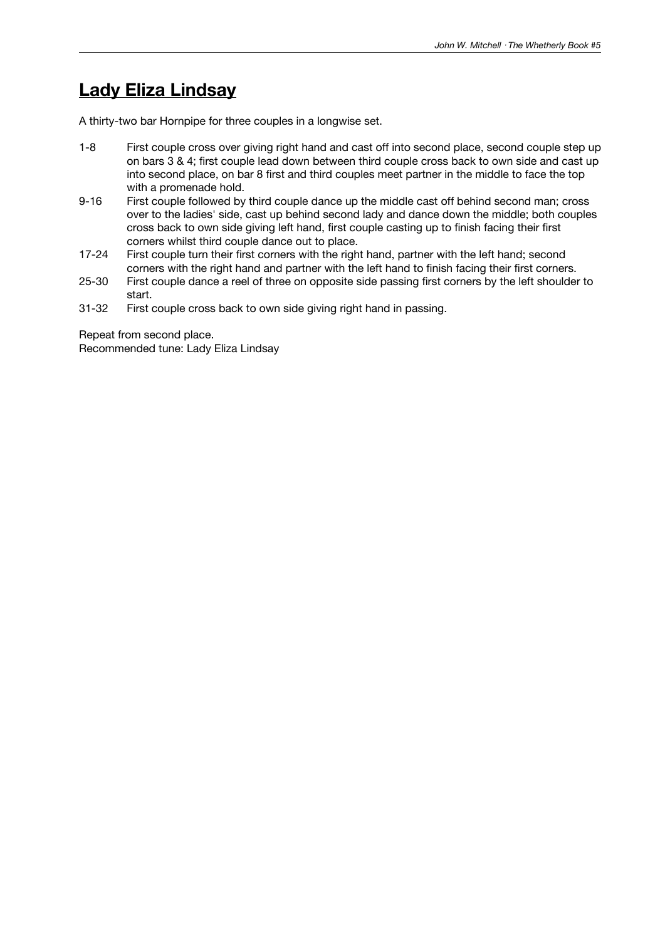### **Lady Eliza Lindsay**

A thirty-two bar Hornpipe for three couples in a longwise set.

- 1-8 First couple cross over giving right hand and cast off into second place, second couple step up on bars 3 & 4; first couple lead down between third couple cross back to own side and cast up into second place, on bar 8 first and third couples meet partner in the middle to face the top with a promenade hold.
- 9-16 First couple followed by third couple dance up the middle cast off behind second man; cross over to the ladies' side, cast up behind second lady and dance down the middle; both couples cross back to own side giving left hand, first couple casting up to finish facing their first corners whilst third couple dance out to place.
- 17-24 First couple turn their first corners with the right hand, partner with the left hand; second corners with the right hand and partner with the left hand to finish facing their first corners.
- 25-30 First couple dance a reel of three on opposite side passing first corners by the left shoulder to start.
- 31-32 First couple cross back to own side giving right hand in passing.

Repeat from second place. Recommended tune: Lady Eliza Lindsay